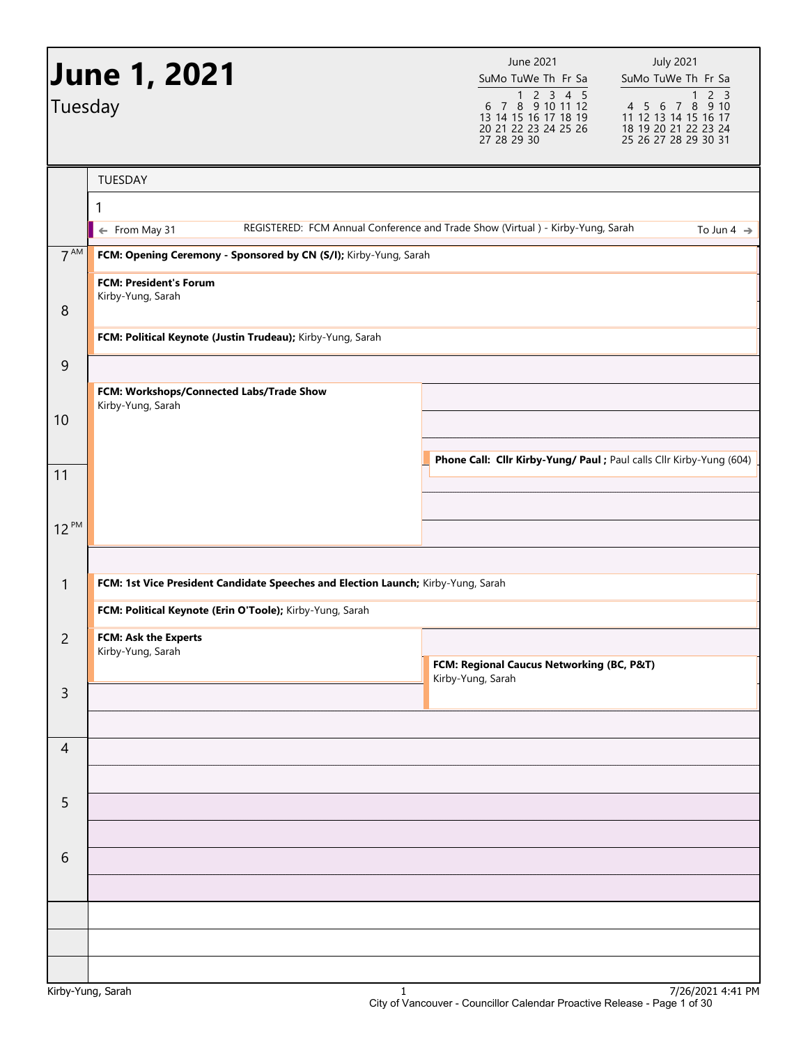|                 | <b>June 1, 2021</b>                                                               | June 2021<br>SuMo TuWe Th Fr Sa                                                              | <b>July 2021</b><br>SuMo TuWe Th Fr Sa                                                                                   |
|-----------------|-----------------------------------------------------------------------------------|----------------------------------------------------------------------------------------------|--------------------------------------------------------------------------------------------------------------------------|
| Tuesday         |                                                                                   | 1 2 3 4 5<br>6 7 8 9 10 11 12<br>13 14 15 16 17 18 19<br>20 21 22 23 24 25 26<br>27 28 29 30 | 2 <sub>3</sub><br>$\mathbf{1}$<br>4 5 6 7 8 9 10<br>11 12 13 14 15 16 17<br>18 19 20 21 22 23 24<br>25 26 27 28 29 30 31 |
|                 | TUESDAY                                                                           |                                                                                              |                                                                                                                          |
|                 | 1                                                                                 |                                                                                              |                                                                                                                          |
|                 | ← From May 31                                                                     | REGISTERED: FCM Annual Conference and Trade Show (Virtual ) - Kirby-Yung, Sarah              | To Jun 4 $\rightarrow$                                                                                                   |
| 7 <sup>AM</sup> | FCM: Opening Ceremony - Sponsored by CN (S/I); Kirby-Yung, Sarah                  |                                                                                              |                                                                                                                          |
|                 | <b>FCM: President's Forum</b>                                                     |                                                                                              |                                                                                                                          |
| 8               | Kirby-Yung, Sarah                                                                 |                                                                                              |                                                                                                                          |
|                 | FCM: Political Keynote (Justin Trudeau); Kirby-Yung, Sarah                        |                                                                                              |                                                                                                                          |
| 9               |                                                                                   |                                                                                              |                                                                                                                          |
|                 | FCM: Workshops/Connected Labs/Trade Show                                          |                                                                                              |                                                                                                                          |
| 10              | Kirby-Yung, Sarah                                                                 |                                                                                              |                                                                                                                          |
|                 |                                                                                   |                                                                                              |                                                                                                                          |
| 11              |                                                                                   | Phone Call: Cllr Kirby-Yung/ Paul ; Paul calls Cllr Kirby-Yung (604)                         |                                                                                                                          |
|                 |                                                                                   |                                                                                              |                                                                                                                          |
| $12^{PM}$       |                                                                                   |                                                                                              |                                                                                                                          |
|                 |                                                                                   |                                                                                              |                                                                                                                          |
| $\mathbf{1}$    | FCM: 1st Vice President Candidate Speeches and Election Launch; Kirby-Yung, Sarah |                                                                                              |                                                                                                                          |
|                 | FCM: Political Keynote (Erin O'Toole); Kirby-Yung, Sarah                          |                                                                                              |                                                                                                                          |
|                 |                                                                                   |                                                                                              |                                                                                                                          |
| $\overline{c}$  | FCM: Ask the Experts<br>Kirby-Yung, Sarah                                         |                                                                                              |                                                                                                                          |
|                 |                                                                                   | FCM: Regional Caucus Networking (BC, P&T)<br>Kirby-Yung, Sarah                               |                                                                                                                          |
| $\overline{3}$  |                                                                                   |                                                                                              |                                                                                                                          |
|                 |                                                                                   |                                                                                              |                                                                                                                          |
| $\overline{4}$  |                                                                                   |                                                                                              |                                                                                                                          |
|                 |                                                                                   |                                                                                              |                                                                                                                          |
| 5               |                                                                                   |                                                                                              |                                                                                                                          |
|                 |                                                                                   |                                                                                              |                                                                                                                          |
| 6               |                                                                                   |                                                                                              |                                                                                                                          |
|                 |                                                                                   |                                                                                              |                                                                                                                          |
|                 |                                                                                   |                                                                                              |                                                                                                                          |
|                 |                                                                                   |                                                                                              |                                                                                                                          |
|                 |                                                                                   |                                                                                              |                                                                                                                          |
|                 |                                                                                   |                                                                                              |                                                                                                                          |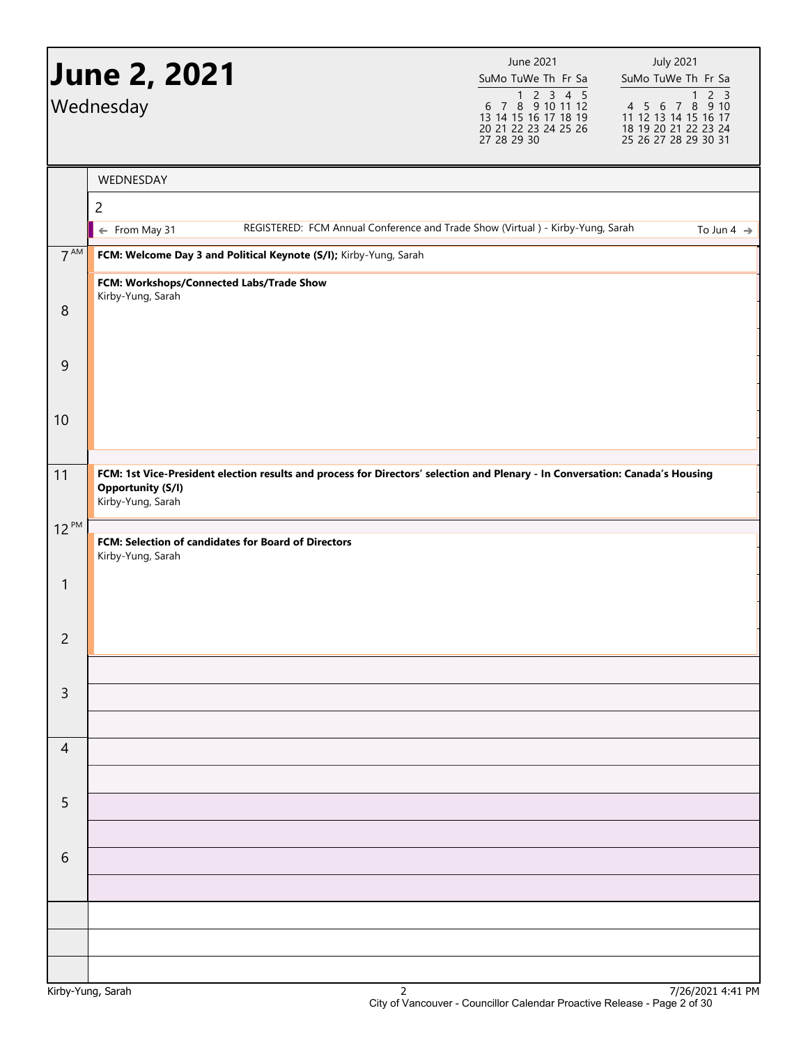|                | <b>June 2, 2021</b>                                                                                                                                                            | June 2021<br>SuMo TuWe Th Fr Sa                                                                                                                                                                                                                                                                                                                                                                                                                                               | <b>July 2021</b><br>SuMo TuWe Th Fr Sa                                                                                      |
|----------------|--------------------------------------------------------------------------------------------------------------------------------------------------------------------------------|-------------------------------------------------------------------------------------------------------------------------------------------------------------------------------------------------------------------------------------------------------------------------------------------------------------------------------------------------------------------------------------------------------------------------------------------------------------------------------|-----------------------------------------------------------------------------------------------------------------------------|
|                | Wednesday                                                                                                                                                                      | $\begin{array}{@{}c@{\hspace{1em}}c@{\hspace{1em}}c@{\hspace{1em}}c@{\hspace{1em}}c@{\hspace{1em}}c@{\hspace{1em}}c@{\hspace{1em}}c@{\hspace{1em}}c@{\hspace{1em}}c@{\hspace{1em}}c@{\hspace{1em}}c@{\hspace{1em}}c@{\hspace{1em}}c@{\hspace{1em}}c@{\hspace{1em}}c@{\hspace{1em}}c@{\hspace{1em}}c@{\hspace{1em}}c@{\hspace{1em}}c@{\hspace{1em}}c@{\hspace{1em}}c@{\hspace{1em}}c@{\hspace{1em}}c@{\hspace{$<br>13 14 15 16 17 18 19<br>20 21 22 23 24 25 26<br>27 28 29 30 | 2 <sub>3</sub><br>$\mathbf{1}$<br>4 5 6 7 8<br>9 10<br>11 12 13 14 15 16 17<br>18 19 20 21 22 23 24<br>25 26 27 28 29 30 31 |
|                | WEDNESDAY                                                                                                                                                                      |                                                                                                                                                                                                                                                                                                                                                                                                                                                                               |                                                                                                                             |
|                | $\overline{c}$                                                                                                                                                                 |                                                                                                                                                                                                                                                                                                                                                                                                                                                                               |                                                                                                                             |
|                | REGISTERED: FCM Annual Conference and Trade Show (Virtual ) - Kirby-Yung, Sarah<br>← From May 31                                                                               |                                                                                                                                                                                                                                                                                                                                                                                                                                                                               | To Jun 4 $\rightarrow$                                                                                                      |
| $7^{AM}$       | FCM: Welcome Day 3 and Political Keynote (S/I); Kirby-Yung, Sarah                                                                                                              |                                                                                                                                                                                                                                                                                                                                                                                                                                                                               |                                                                                                                             |
|                | FCM: Workshops/Connected Labs/Trade Show<br>Kirby-Yung, Sarah                                                                                                                  |                                                                                                                                                                                                                                                                                                                                                                                                                                                                               |                                                                                                                             |
| 8              |                                                                                                                                                                                |                                                                                                                                                                                                                                                                                                                                                                                                                                                                               |                                                                                                                             |
| 9              |                                                                                                                                                                                |                                                                                                                                                                                                                                                                                                                                                                                                                                                                               |                                                                                                                             |
| 10             |                                                                                                                                                                                |                                                                                                                                                                                                                                                                                                                                                                                                                                                                               |                                                                                                                             |
| 11             | FCM: 1st Vice-President election results and process for Directors' selection and Plenary - In Conversation: Canada's Housing<br><b>Opportunity (S/I)</b><br>Kirby-Yung, Sarah |                                                                                                                                                                                                                                                                                                                                                                                                                                                                               |                                                                                                                             |
| $12^{PM}$      | FCM: Selection of candidates for Board of Directors<br>Kirby-Yung, Sarah                                                                                                       |                                                                                                                                                                                                                                                                                                                                                                                                                                                                               |                                                                                                                             |
| $\mathbf{1}$   |                                                                                                                                                                                |                                                                                                                                                                                                                                                                                                                                                                                                                                                                               |                                                                                                                             |
| $\overline{c}$ |                                                                                                                                                                                |                                                                                                                                                                                                                                                                                                                                                                                                                                                                               |                                                                                                                             |
| $\mathsf{3}$   |                                                                                                                                                                                |                                                                                                                                                                                                                                                                                                                                                                                                                                                                               |                                                                                                                             |
|                |                                                                                                                                                                                |                                                                                                                                                                                                                                                                                                                                                                                                                                                                               |                                                                                                                             |
| $\overline{4}$ |                                                                                                                                                                                |                                                                                                                                                                                                                                                                                                                                                                                                                                                                               |                                                                                                                             |
|                |                                                                                                                                                                                |                                                                                                                                                                                                                                                                                                                                                                                                                                                                               |                                                                                                                             |
| 5              |                                                                                                                                                                                |                                                                                                                                                                                                                                                                                                                                                                                                                                                                               |                                                                                                                             |
| 6              |                                                                                                                                                                                |                                                                                                                                                                                                                                                                                                                                                                                                                                                                               |                                                                                                                             |
|                |                                                                                                                                                                                |                                                                                                                                                                                                                                                                                                                                                                                                                                                                               |                                                                                                                             |
|                |                                                                                                                                                                                |                                                                                                                                                                                                                                                                                                                                                                                                                                                                               |                                                                                                                             |
|                |                                                                                                                                                                                |                                                                                                                                                                                                                                                                                                                                                                                                                                                                               |                                                                                                                             |
|                |                                                                                                                                                                                |                                                                                                                                                                                                                                                                                                                                                                                                                                                                               |                                                                                                                             |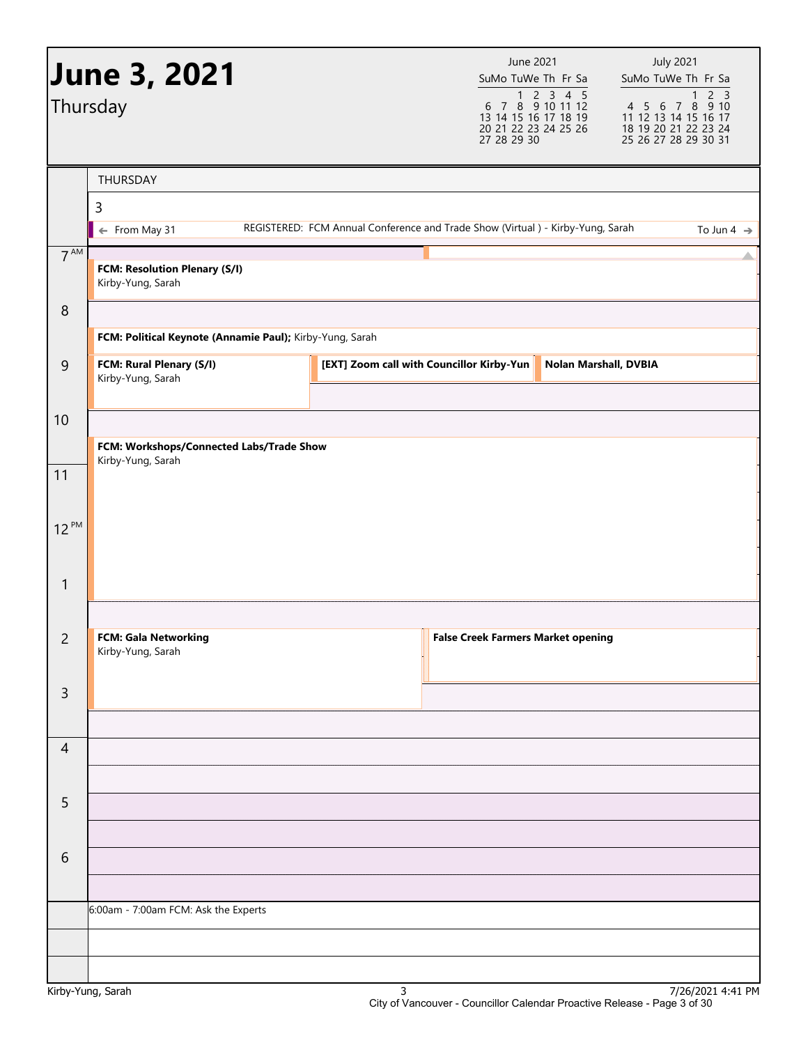|                  | <b>June 3, 2021</b>                                      |                                                                                 | June 2021<br>SuMo TuWe Th Fr Sa                             |                                                                                                                                                                                                                                                                                                                                                                                                                | <b>July 2021</b><br>SuMo TuWe Th Fr Sa                                                          |
|------------------|----------------------------------------------------------|---------------------------------------------------------------------------------|-------------------------------------------------------------|----------------------------------------------------------------------------------------------------------------------------------------------------------------------------------------------------------------------------------------------------------------------------------------------------------------------------------------------------------------------------------------------------------------|-------------------------------------------------------------------------------------------------|
|                  | Thursday                                                 |                                                                                 | 13 14 15 16 17 18 19<br>20 21 22 23 24 25 26<br>27 28 29 30 | $\begin{array}{@{}c@{\hspace{1em}}c@{\hspace{1em}}c@{\hspace{1em}}c@{\hspace{1em}}c@{\hspace{1em}}c@{\hspace{1em}}c@{\hspace{1em}}c@{\hspace{1em}}c@{\hspace{1em}}c@{\hspace{1em}}c@{\hspace{1em}}c@{\hspace{1em}}c@{\hspace{1em}}c@{\hspace{1em}}c@{\hspace{1em}}c@{\hspace{1em}}c@{\hspace{1em}}c@{\hspace{1em}}c@{\hspace{1em}}c@{\hspace{1em}}c@{\hspace{1em}}c@{\hspace{1em}}c@{\hspace{1em}}c@{\hspace{$ | 1 2 3<br>4 5 6 7 8 9 10<br>11 12 13 14 15 16 17<br>18 19 20 21 22 23 24<br>25 26 27 28 29 30 31 |
|                  | THURSDAY                                                 |                                                                                 |                                                             |                                                                                                                                                                                                                                                                                                                                                                                                                |                                                                                                 |
|                  | $\mathsf 3$                                              |                                                                                 |                                                             |                                                                                                                                                                                                                                                                                                                                                                                                                |                                                                                                 |
|                  | ← From May 31                                            | REGISTERED: FCM Annual Conference and Trade Show (Virtual ) - Kirby-Yung, Sarah |                                                             |                                                                                                                                                                                                                                                                                                                                                                                                                | To Jun 4 $\rightarrow$                                                                          |
| $7^{\text{AM}}$  | FCM: Resolution Plenary (S/I)<br>Kirby-Yung, Sarah       |                                                                                 |                                                             |                                                                                                                                                                                                                                                                                                                                                                                                                |                                                                                                 |
| $\boldsymbol{8}$ |                                                          |                                                                                 |                                                             |                                                                                                                                                                                                                                                                                                                                                                                                                |                                                                                                 |
|                  | FCM: Political Keynote (Annamie Paul); Kirby-Yung, Sarah |                                                                                 |                                                             |                                                                                                                                                                                                                                                                                                                                                                                                                |                                                                                                 |
| $\overline{9}$   | FCM: Rural Plenary (S/I)<br>Kirby-Yung, Sarah            |                                                                                 | [EXT] Zoom call with Councillor Kirby-Yun                   | Nolan Marshall, DVBIA                                                                                                                                                                                                                                                                                                                                                                                          |                                                                                                 |
| 10               |                                                          |                                                                                 |                                                             |                                                                                                                                                                                                                                                                                                                                                                                                                |                                                                                                 |
|                  | FCM: Workshops/Connected Labs/Trade Show                 |                                                                                 |                                                             |                                                                                                                                                                                                                                                                                                                                                                                                                |                                                                                                 |
| 11               | Kirby-Yung, Sarah                                        |                                                                                 |                                                             |                                                                                                                                                                                                                                                                                                                                                                                                                |                                                                                                 |
|                  |                                                          |                                                                                 |                                                             |                                                                                                                                                                                                                                                                                                                                                                                                                |                                                                                                 |
| $12^{PM}$        |                                                          |                                                                                 |                                                             |                                                                                                                                                                                                                                                                                                                                                                                                                |                                                                                                 |
| $\mathbf{1}$     |                                                          |                                                                                 |                                                             |                                                                                                                                                                                                                                                                                                                                                                                                                |                                                                                                 |
|                  |                                                          |                                                                                 |                                                             |                                                                                                                                                                                                                                                                                                                                                                                                                |                                                                                                 |
| $\overline{c}$   | <b>FCM: Gala Networking</b><br>Kirby-Yung, Sarah         |                                                                                 | <b>False Creek Farmers Market opening</b>                   |                                                                                                                                                                                                                                                                                                                                                                                                                |                                                                                                 |
| $\mathsf{3}$     |                                                          |                                                                                 |                                                             |                                                                                                                                                                                                                                                                                                                                                                                                                |                                                                                                 |
|                  |                                                          |                                                                                 |                                                             |                                                                                                                                                                                                                                                                                                                                                                                                                |                                                                                                 |
| $\overline{4}$   |                                                          |                                                                                 |                                                             |                                                                                                                                                                                                                                                                                                                                                                                                                |                                                                                                 |
|                  |                                                          |                                                                                 |                                                             |                                                                                                                                                                                                                                                                                                                                                                                                                |                                                                                                 |
| 5                |                                                          |                                                                                 |                                                             |                                                                                                                                                                                                                                                                                                                                                                                                                |                                                                                                 |
|                  |                                                          |                                                                                 |                                                             |                                                                                                                                                                                                                                                                                                                                                                                                                |                                                                                                 |
| 6                |                                                          |                                                                                 |                                                             |                                                                                                                                                                                                                                                                                                                                                                                                                |                                                                                                 |
|                  |                                                          |                                                                                 |                                                             |                                                                                                                                                                                                                                                                                                                                                                                                                |                                                                                                 |
|                  | 6:00am - 7:00am FCM: Ask the Experts                     |                                                                                 |                                                             |                                                                                                                                                                                                                                                                                                                                                                                                                |                                                                                                 |
|                  |                                                          |                                                                                 |                                                             |                                                                                                                                                                                                                                                                                                                                                                                                                |                                                                                                 |
|                  |                                                          |                                                                                 |                                                             |                                                                                                                                                                                                                                                                                                                                                                                                                |                                                                                                 |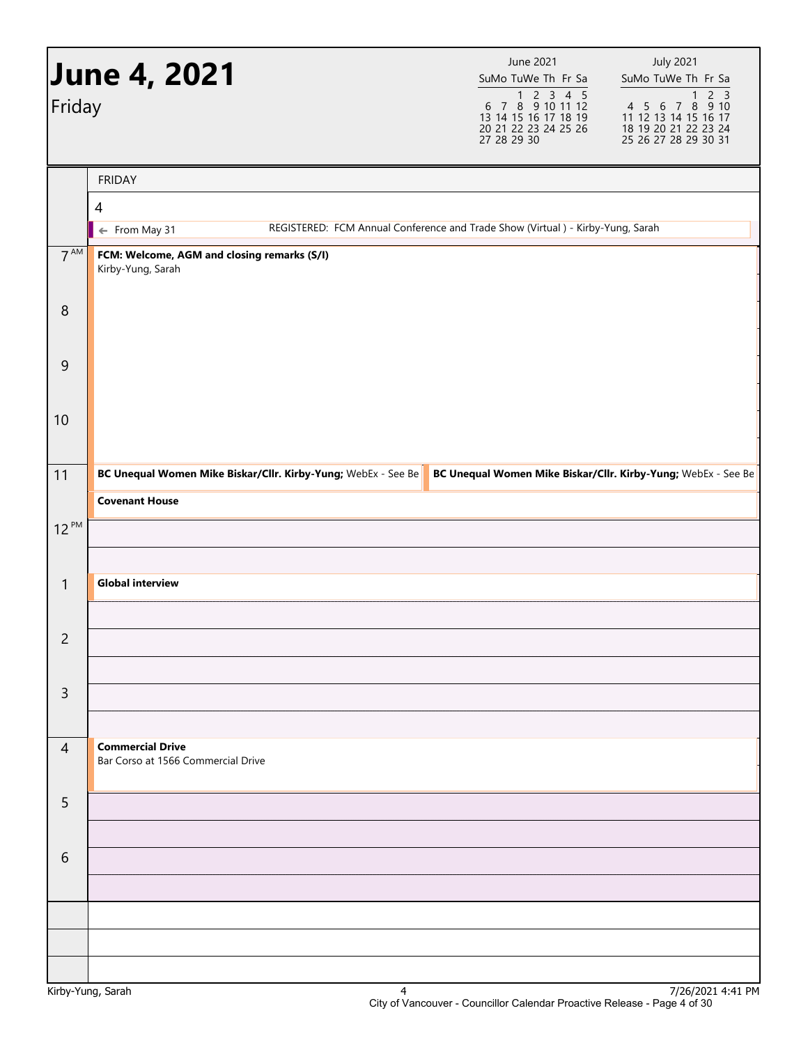| Friday          | <b>June 4, 2021</b>                                              | June 2021<br>SuMo TuWe Th Fr Sa<br>$\begin{array}{@{}c@{\hspace{1em}}c@{\hspace{1em}}c@{\hspace{1em}}c@{\hspace{1em}}c@{\hspace{1em}}c@{\hspace{1em}}c@{\hspace{1em}}c@{\hspace{1em}}c@{\hspace{1em}}c@{\hspace{1em}}c@{\hspace{1em}}c@{\hspace{1em}}c@{\hspace{1em}}c@{\hspace{1em}}c@{\hspace{1em}}c@{\hspace{1em}}c@{\hspace{1em}}c@{\hspace{1em}}c@{\hspace{1em}}c@{\hspace{1em}}c@{\hspace{1em}}c@{\hspace{1em}}c@{\hspace{1em}}c@{\hspace{$<br>13 14 15 16 17 18 19<br>20 21 22 23 24 25 26<br>27 28 29 30 | <b>July 2021</b><br>SuMo TuWe Th Fr Sa<br>$2\overline{3}$<br>$\mathbf{1}$<br>4 5 6 7 8 9 10<br>11 12 13 14 15 16 17<br>18 19 20 21 22 23 24<br>25 26 27 28 29 30 31 |
|-----------------|------------------------------------------------------------------|------------------------------------------------------------------------------------------------------------------------------------------------------------------------------------------------------------------------------------------------------------------------------------------------------------------------------------------------------------------------------------------------------------------------------------------------------------------------------------------------------------------|---------------------------------------------------------------------------------------------------------------------------------------------------------------------|
|                 |                                                                  |                                                                                                                                                                                                                                                                                                                                                                                                                                                                                                                  |                                                                                                                                                                     |
|                 | <b>FRIDAY</b><br>$\overline{4}$                                  |                                                                                                                                                                                                                                                                                                                                                                                                                                                                                                                  |                                                                                                                                                                     |
|                 | ← From May 31                                                    | REGISTERED: FCM Annual Conference and Trade Show (Virtual ) - Kirby-Yung, Sarah                                                                                                                                                                                                                                                                                                                                                                                                                                  |                                                                                                                                                                     |
| $7^{\text{AM}}$ | FCM: Welcome, AGM and closing remarks (S/I)<br>Kirby-Yung, Sarah |                                                                                                                                                                                                                                                                                                                                                                                                                                                                                                                  |                                                                                                                                                                     |
| $\,8\,$         |                                                                  |                                                                                                                                                                                                                                                                                                                                                                                                                                                                                                                  |                                                                                                                                                                     |
| 9               |                                                                  |                                                                                                                                                                                                                                                                                                                                                                                                                                                                                                                  |                                                                                                                                                                     |
| 10              |                                                                  |                                                                                                                                                                                                                                                                                                                                                                                                                                                                                                                  |                                                                                                                                                                     |
| 11              | BC Unequal Women Mike Biskar/Cllr. Kirby-Yung; WebEx - See Be    | BC Unequal Women Mike Biskar/Cllr. Kirby-Yung; WebEx - See Be                                                                                                                                                                                                                                                                                                                                                                                                                                                    |                                                                                                                                                                     |
|                 | <b>Covenant House</b>                                            |                                                                                                                                                                                                                                                                                                                                                                                                                                                                                                                  |                                                                                                                                                                     |
| $12^{PM}$       |                                                                  |                                                                                                                                                                                                                                                                                                                                                                                                                                                                                                                  |                                                                                                                                                                     |
|                 |                                                                  |                                                                                                                                                                                                                                                                                                                                                                                                                                                                                                                  |                                                                                                                                                                     |
| $\mathbf{1}$    | <b>Global interview</b>                                          |                                                                                                                                                                                                                                                                                                                                                                                                                                                                                                                  |                                                                                                                                                                     |
|                 |                                                                  |                                                                                                                                                                                                                                                                                                                                                                                                                                                                                                                  |                                                                                                                                                                     |
| 2               |                                                                  |                                                                                                                                                                                                                                                                                                                                                                                                                                                                                                                  |                                                                                                                                                                     |
|                 |                                                                  |                                                                                                                                                                                                                                                                                                                                                                                                                                                                                                                  |                                                                                                                                                                     |
| $\overline{3}$  |                                                                  |                                                                                                                                                                                                                                                                                                                                                                                                                                                                                                                  |                                                                                                                                                                     |
| $\overline{4}$  | <b>Commercial Drive</b>                                          |                                                                                                                                                                                                                                                                                                                                                                                                                                                                                                                  |                                                                                                                                                                     |
|                 | Bar Corso at 1566 Commercial Drive                               |                                                                                                                                                                                                                                                                                                                                                                                                                                                                                                                  |                                                                                                                                                                     |
| 5               |                                                                  |                                                                                                                                                                                                                                                                                                                                                                                                                                                                                                                  |                                                                                                                                                                     |
|                 |                                                                  |                                                                                                                                                                                                                                                                                                                                                                                                                                                                                                                  |                                                                                                                                                                     |
| 6               |                                                                  |                                                                                                                                                                                                                                                                                                                                                                                                                                                                                                                  |                                                                                                                                                                     |
|                 |                                                                  |                                                                                                                                                                                                                                                                                                                                                                                                                                                                                                                  |                                                                                                                                                                     |
|                 |                                                                  |                                                                                                                                                                                                                                                                                                                                                                                                                                                                                                                  |                                                                                                                                                                     |
|                 |                                                                  |                                                                                                                                                                                                                                                                                                                                                                                                                                                                                                                  |                                                                                                                                                                     |
|                 |                                                                  |                                                                                                                                                                                                                                                                                                                                                                                                                                                                                                                  |                                                                                                                                                                     |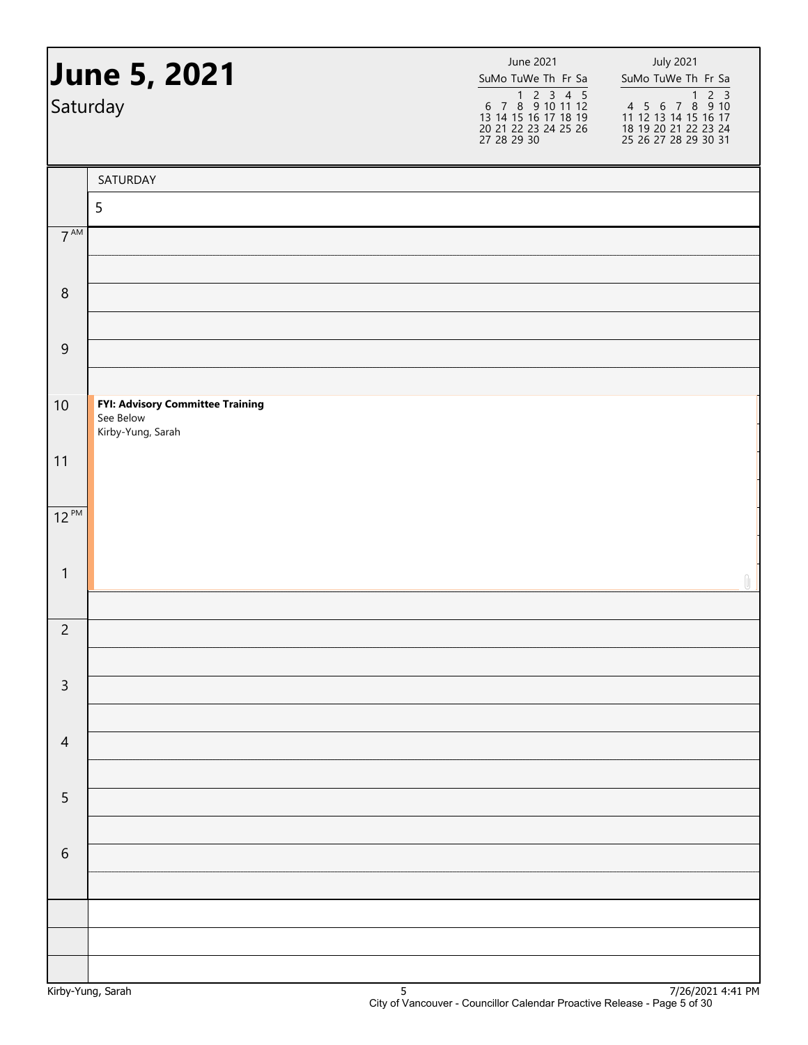|                 | <b>June 5, 2021</b><br>Saturday                                    | June 2021<br>SuMo TuWe Th Fr Sa<br>1 2 3 4 5<br>6 7 8 9 10 11 12<br>13 14 15 16 17 18 19<br>20 21 22 23 24 25 26<br>27 28 29 30 | <b>July 2021</b><br>SuMo TuWe Th Fr Sa<br>4 5 6 7 8 9 10<br>11 12 13 14 15 16 17<br>18 19 20 21 22 23 24<br>25 26 27 28 29 30 31 |
|-----------------|--------------------------------------------------------------------|---------------------------------------------------------------------------------------------------------------------------------|----------------------------------------------------------------------------------------------------------------------------------|
|                 | SATURDAY                                                           |                                                                                                                                 |                                                                                                                                  |
|                 | 5                                                                  |                                                                                                                                 |                                                                                                                                  |
| $7^{\text{AM}}$ |                                                                    |                                                                                                                                 |                                                                                                                                  |
| $\,8\,$         |                                                                    |                                                                                                                                 |                                                                                                                                  |
| $\overline{9}$  |                                                                    |                                                                                                                                 |                                                                                                                                  |
|                 |                                                                    |                                                                                                                                 |                                                                                                                                  |
| 10              | FYI: Advisory Committee Training<br>See Below<br>Kirby-Yung, Sarah |                                                                                                                                 |                                                                                                                                  |
| 11              |                                                                    |                                                                                                                                 |                                                                                                                                  |
| $12^{PM}$       |                                                                    |                                                                                                                                 |                                                                                                                                  |
| $\mathbf{1}$    |                                                                    |                                                                                                                                 | $\mathbb U$                                                                                                                      |
|                 |                                                                    |                                                                                                                                 |                                                                                                                                  |
| $\overline{2}$  |                                                                    |                                                                                                                                 |                                                                                                                                  |
| $\mathsf{3}$    |                                                                    |                                                                                                                                 |                                                                                                                                  |
| $\overline{4}$  |                                                                    |                                                                                                                                 |                                                                                                                                  |
|                 |                                                                    |                                                                                                                                 |                                                                                                                                  |
| $\mathsf S$     |                                                                    |                                                                                                                                 |                                                                                                                                  |
| $\sqrt{6}$      |                                                                    |                                                                                                                                 |                                                                                                                                  |
|                 |                                                                    |                                                                                                                                 |                                                                                                                                  |
|                 |                                                                    |                                                                                                                                 |                                                                                                                                  |
|                 |                                                                    |                                                                                                                                 |                                                                                                                                  |
|                 |                                                                    |                                                                                                                                 |                                                                                                                                  |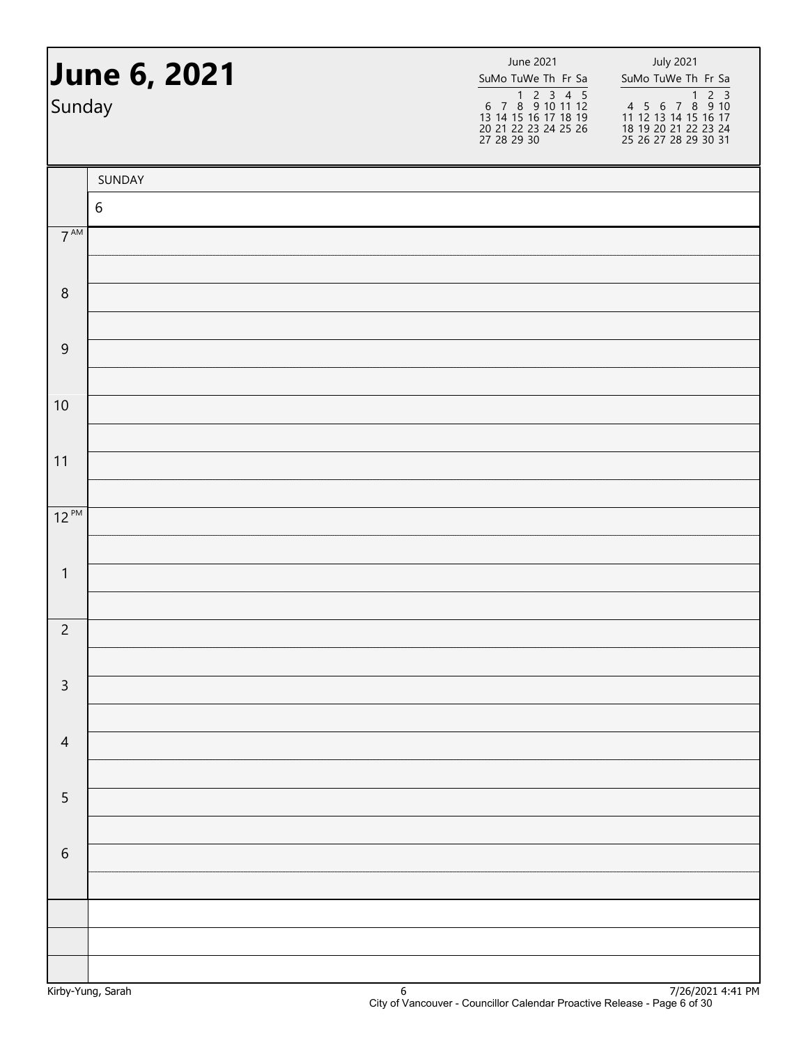| Sunday          | <b>June 6, 2021</b> | June 2021<br>SuMo TuWe Th Fr Sa<br>1 2 3 4 5<br>6 7 8 9 10 11 12<br>13 14 15 16 17 18 19<br>20 21 22 23 24 25 26<br>27 28 29 30 | <b>July 2021</b><br>SuMo TuWe Th Fr Sa |  |  |
|-----------------|---------------------|---------------------------------------------------------------------------------------------------------------------------------|----------------------------------------|--|--|
|                 | SUNDAY              |                                                                                                                                 |                                        |  |  |
|                 | $\sqrt{6}$          |                                                                                                                                 |                                        |  |  |
| $7^{\text{AM}}$ |                     |                                                                                                                                 |                                        |  |  |
| $\,8\,$         |                     |                                                                                                                                 |                                        |  |  |
|                 |                     |                                                                                                                                 |                                        |  |  |
| $\overline{9}$  |                     |                                                                                                                                 |                                        |  |  |
|                 |                     |                                                                                                                                 |                                        |  |  |
| 10              |                     |                                                                                                                                 |                                        |  |  |
|                 |                     |                                                                                                                                 |                                        |  |  |
| 11              |                     |                                                                                                                                 |                                        |  |  |
| $12^{PM}$       |                     |                                                                                                                                 |                                        |  |  |
|                 |                     |                                                                                                                                 |                                        |  |  |
| $\mathbf{1}$    |                     |                                                                                                                                 |                                        |  |  |
|                 |                     |                                                                                                                                 |                                        |  |  |
| $\overline{c}$  |                     |                                                                                                                                 |                                        |  |  |
| $\mathsf 3$     |                     |                                                                                                                                 |                                        |  |  |
|                 |                     |                                                                                                                                 |                                        |  |  |
| $\overline{4}$  |                     |                                                                                                                                 |                                        |  |  |
|                 |                     |                                                                                                                                 |                                        |  |  |
| $\mathsf S$     |                     |                                                                                                                                 |                                        |  |  |
| $\sqrt{6}$      |                     |                                                                                                                                 |                                        |  |  |
|                 |                     |                                                                                                                                 |                                        |  |  |
|                 |                     |                                                                                                                                 |                                        |  |  |
|                 |                     |                                                                                                                                 |                                        |  |  |
|                 |                     |                                                                                                                                 |                                        |  |  |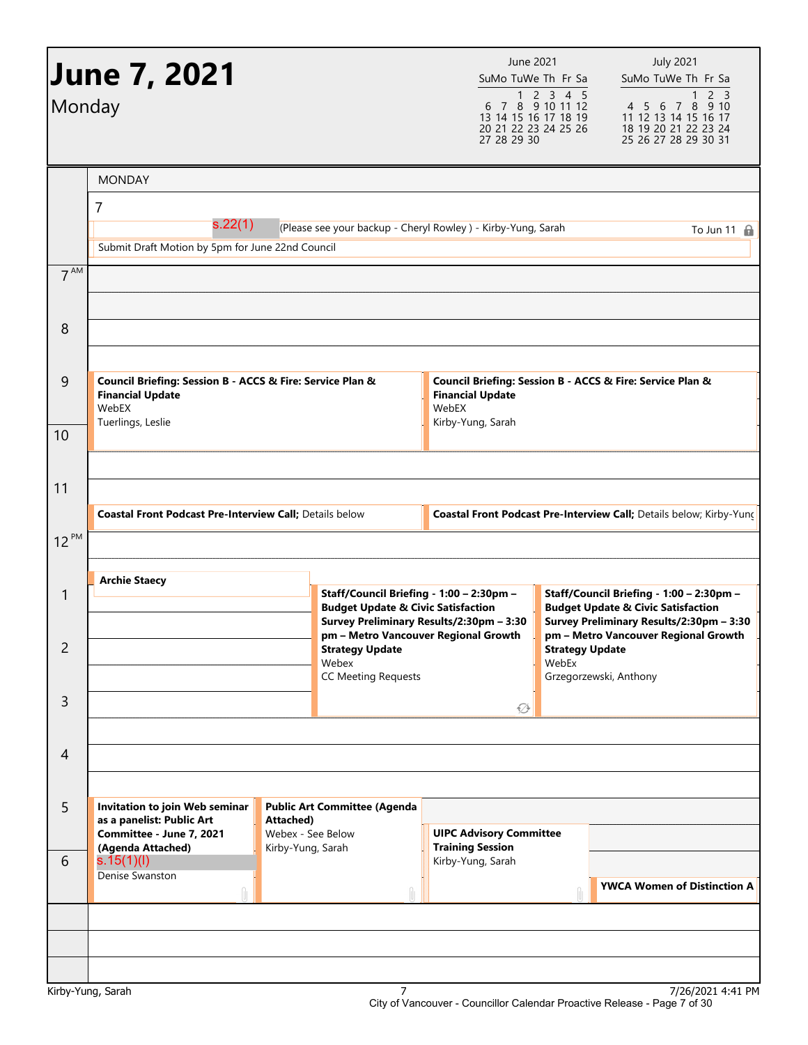| Monday          | <b>June 7, 2021</b>                                                                           |                                |                                                                                                       | 27 28 29 30                                                                                                                           | June 2021<br>SuMo TuWe Th Fr Sa<br>$\begin{array}{rrrrrrrr} & 1 & 2 & 3 & 4 & 5 \\ 6 & 7 & 8 & 9 & 10 & 11 & 12 \end{array}$<br>13 14 15 16 17 18 19<br>20 21 22 23 24 25 26 | <b>July 2021</b><br>SuMo TuWe Th Fr Sa<br>2 <sub>3</sub><br>$\mathbf{1}$<br>4 5 6 7 8 9 10<br>11 12 13 14 15 16 17<br>18 19 20 21 22 23 24<br>25 26 27 28 29 30 31 |  |
|-----------------|-----------------------------------------------------------------------------------------------|--------------------------------|-------------------------------------------------------------------------------------------------------|---------------------------------------------------------------------------------------------------------------------------------------|------------------------------------------------------------------------------------------------------------------------------------------------------------------------------|--------------------------------------------------------------------------------------------------------------------------------------------------------------------|--|
|                 | <b>MONDAY</b>                                                                                 |                                |                                                                                                       |                                                                                                                                       |                                                                                                                                                                              |                                                                                                                                                                    |  |
|                 | $\overline{7}$<br>s.22(1)<br>Submit Draft Motion by 5pm for June 22nd Council                 |                                | (Please see your backup - Cheryl Rowley ) - Kirby-Yung, Sarah                                         |                                                                                                                                       |                                                                                                                                                                              | To Jun 11 $\oplus$                                                                                                                                                 |  |
| 7 <sup>AM</sup> |                                                                                               |                                |                                                                                                       |                                                                                                                                       |                                                                                                                                                                              |                                                                                                                                                                    |  |
| 8               |                                                                                               |                                |                                                                                                       |                                                                                                                                       |                                                                                                                                                                              |                                                                                                                                                                    |  |
| 9               | Council Briefing: Session B - ACCS & Fire: Service Plan &<br><b>Financial Update</b><br>WebEX |                                | Council Briefing: Session B - ACCS & Fire: Service Plan &<br><b>Financial Update</b><br>WebEX         |                                                                                                                                       |                                                                                                                                                                              |                                                                                                                                                                    |  |
| 10              | Tuerlings, Leslie                                                                             |                                |                                                                                                       | Kirby-Yung, Sarah                                                                                                                     |                                                                                                                                                                              |                                                                                                                                                                    |  |
| 11              | <b>Coastal Front Podcast Pre-Interview Call; Details below</b>                                |                                |                                                                                                       |                                                                                                                                       |                                                                                                                                                                              | Coastal Front Podcast Pre-Interview Call; Details below; Kirby-Yung                                                                                                |  |
| $12^{PM}$       |                                                                                               |                                |                                                                                                       |                                                                                                                                       |                                                                                                                                                                              |                                                                                                                                                                    |  |
| 1               | <b>Archie Staecy</b>                                                                          |                                |                                                                                                       | Staff/Council Briefing - 1:00 - 2:30pm -<br><b>Budget Update &amp; Civic Satisfaction</b><br>Survey Preliminary Results/2:30pm - 3:30 |                                                                                                                                                                              | Staff/Council Briefing - 1:00 - 2:30pm -<br><b>Budget Update &amp; Civic Satisfaction</b><br>Survey Preliminary Results/2:30pm - 3:30                              |  |
| 2               |                                                                                               |                                | pm - Metro Vancouver Regional Growth<br><b>Strategy Update</b><br>Webex<br><b>CC Meeting Requests</b> | <b>Strategy Update</b><br>WebEx<br>Grzegorzewski, Anthony                                                                             |                                                                                                                                                                              | pm - Metro Vancouver Regional Growth                                                                                                                               |  |
| 3               |                                                                                               |                                |                                                                                                       | ۞                                                                                                                                     |                                                                                                                                                                              |                                                                                                                                                                    |  |
| 4               |                                                                                               |                                |                                                                                                       |                                                                                                                                       |                                                                                                                                                                              |                                                                                                                                                                    |  |
| 5               | Invitation to join Web seminar<br>as a panelist: Public Art<br>Committee - June 7, 2021       | Attached)<br>Webex - See Below | <b>Public Art Committee (Agenda</b>                                                                   | <b>UIPC Advisory Committee</b>                                                                                                        |                                                                                                                                                                              |                                                                                                                                                                    |  |
| 6               | (Agenda Attached)<br>Kirby-Yung, Sarah<br>s.15(1)(l)<br>Denise Swanston                       |                                |                                                                                                       | <b>Training Session</b><br>Kirby-Yung, Sarah                                                                                          |                                                                                                                                                                              | <b>YWCA Women of Distinction A</b>                                                                                                                                 |  |
|                 |                                                                                               |                                |                                                                                                       |                                                                                                                                       |                                                                                                                                                                              |                                                                                                                                                                    |  |
|                 |                                                                                               |                                |                                                                                                       |                                                                                                                                       |                                                                                                                                                                              |                                                                                                                                                                    |  |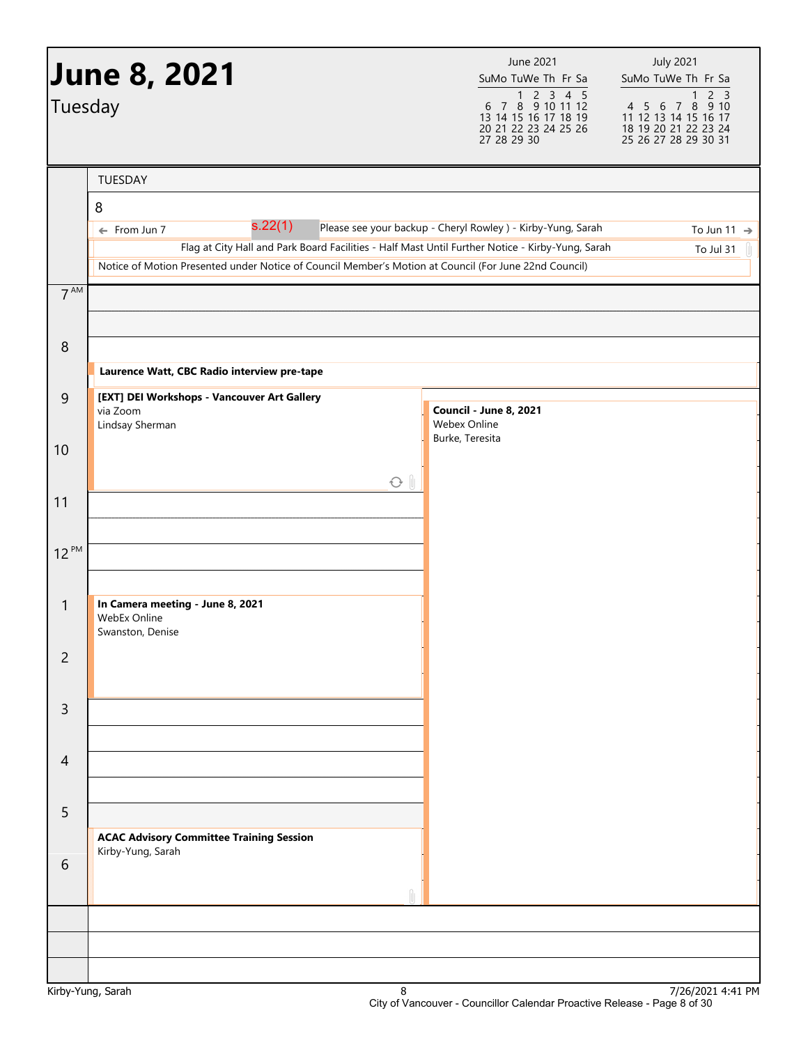| Tuesday         | <b>June 8, 2021</b>                                                                                                         | June 2021<br>SuMo TuWe Th Fr Sa<br>$\begin{array}{@{}c@{\hspace{1em}}c@{\hspace{1em}}c@{\hspace{1em}}c@{\hspace{1em}}c@{\hspace{1em}}c@{\hspace{1em}}c@{\hspace{1em}}c@{\hspace{1em}}c@{\hspace{1em}}c@{\hspace{1em}}c@{\hspace{1em}}c@{\hspace{1em}}c@{\hspace{1em}}c@{\hspace{1em}}c@{\hspace{1em}}c@{\hspace{1em}}c@{\hspace{1em}}c@{\hspace{1em}}c@{\hspace{1em}}c@{\hspace{1em}}c@{\hspace{1em}}c@{\hspace{1em}}c@{\hspace{1em}}c@{\hspace{$<br>13 14 15 16 17 18 19 | <b>July 2021</b><br>SuMo TuWe Th Fr Sa<br>4 5 6 7 8 9 10<br>11 12 13 14 15 16 17 |
|-----------------|-----------------------------------------------------------------------------------------------------------------------------|---------------------------------------------------------------------------------------------------------------------------------------------------------------------------------------------------------------------------------------------------------------------------------------------------------------------------------------------------------------------------------------------------------------------------------------------------------------------------|----------------------------------------------------------------------------------|
|                 |                                                                                                                             | 20 21 22 23 24 25 26<br>27 28 29 30                                                                                                                                                                                                                                                                                                                                                                                                                                       | 18 19 20 21 22 23 24<br>25 26 27 28 29 30 31                                     |
|                 | TUESDAY                                                                                                                     |                                                                                                                                                                                                                                                                                                                                                                                                                                                                           |                                                                                  |
|                 | 8                                                                                                                           |                                                                                                                                                                                                                                                                                                                                                                                                                                                                           |                                                                                  |
|                 | s.22(1)<br>← From Jun 7<br>Flag at City Hall and Park Board Facilities - Half Mast Until Further Notice - Kirby-Yung, Sarah | Please see your backup - Cheryl Rowley ) - Kirby-Yung, Sarah                                                                                                                                                                                                                                                                                                                                                                                                              | To Jun 11 $\rightarrow$<br>To Jul 31                                             |
|                 | Notice of Motion Presented under Notice of Council Member's Motion at Council (For June 22nd Council)                       |                                                                                                                                                                                                                                                                                                                                                                                                                                                                           |                                                                                  |
| 7 <sup>AM</sup> |                                                                                                                             |                                                                                                                                                                                                                                                                                                                                                                                                                                                                           |                                                                                  |
| $\,8\,$         |                                                                                                                             |                                                                                                                                                                                                                                                                                                                                                                                                                                                                           |                                                                                  |
|                 | Laurence Watt, CBC Radio interview pre-tape                                                                                 |                                                                                                                                                                                                                                                                                                                                                                                                                                                                           |                                                                                  |
| $\overline{9}$  | [EXT] DEI Workshops - Vancouver Art Gallery<br>via Zoom<br>Lindsay Sherman                                                  | Council - June 8, 2021<br><b>Webex Online</b>                                                                                                                                                                                                                                                                                                                                                                                                                             |                                                                                  |
| 10              |                                                                                                                             | Burke, Teresita                                                                                                                                                                                                                                                                                                                                                                                                                                                           |                                                                                  |
|                 | $\odot$ $\parallel$                                                                                                         |                                                                                                                                                                                                                                                                                                                                                                                                                                                                           |                                                                                  |
| 11              |                                                                                                                             |                                                                                                                                                                                                                                                                                                                                                                                                                                                                           |                                                                                  |
| $12^{PM}$       |                                                                                                                             |                                                                                                                                                                                                                                                                                                                                                                                                                                                                           |                                                                                  |
|                 |                                                                                                                             |                                                                                                                                                                                                                                                                                                                                                                                                                                                                           |                                                                                  |
| 1               | In Camera meeting - June 8, 2021<br>WebEx Online<br>Swanston, Denise                                                        |                                                                                                                                                                                                                                                                                                                                                                                                                                                                           |                                                                                  |
| $\overline{2}$  |                                                                                                                             |                                                                                                                                                                                                                                                                                                                                                                                                                                                                           |                                                                                  |
| 3               |                                                                                                                             |                                                                                                                                                                                                                                                                                                                                                                                                                                                                           |                                                                                  |
| $\overline{4}$  |                                                                                                                             |                                                                                                                                                                                                                                                                                                                                                                                                                                                                           |                                                                                  |
| 5               |                                                                                                                             |                                                                                                                                                                                                                                                                                                                                                                                                                                                                           |                                                                                  |
| 6               | <b>ACAC Advisory Committee Training Session</b><br>Kirby-Yung, Sarah                                                        |                                                                                                                                                                                                                                                                                                                                                                                                                                                                           |                                                                                  |
|                 |                                                                                                                             |                                                                                                                                                                                                                                                                                                                                                                                                                                                                           |                                                                                  |
|                 |                                                                                                                             |                                                                                                                                                                                                                                                                                                                                                                                                                                                                           |                                                                                  |
|                 |                                                                                                                             |                                                                                                                                                                                                                                                                                                                                                                                                                                                                           |                                                                                  |
|                 |                                                                                                                             |                                                                                                                                                                                                                                                                                                                                                                                                                                                                           | 71221222                                                                         |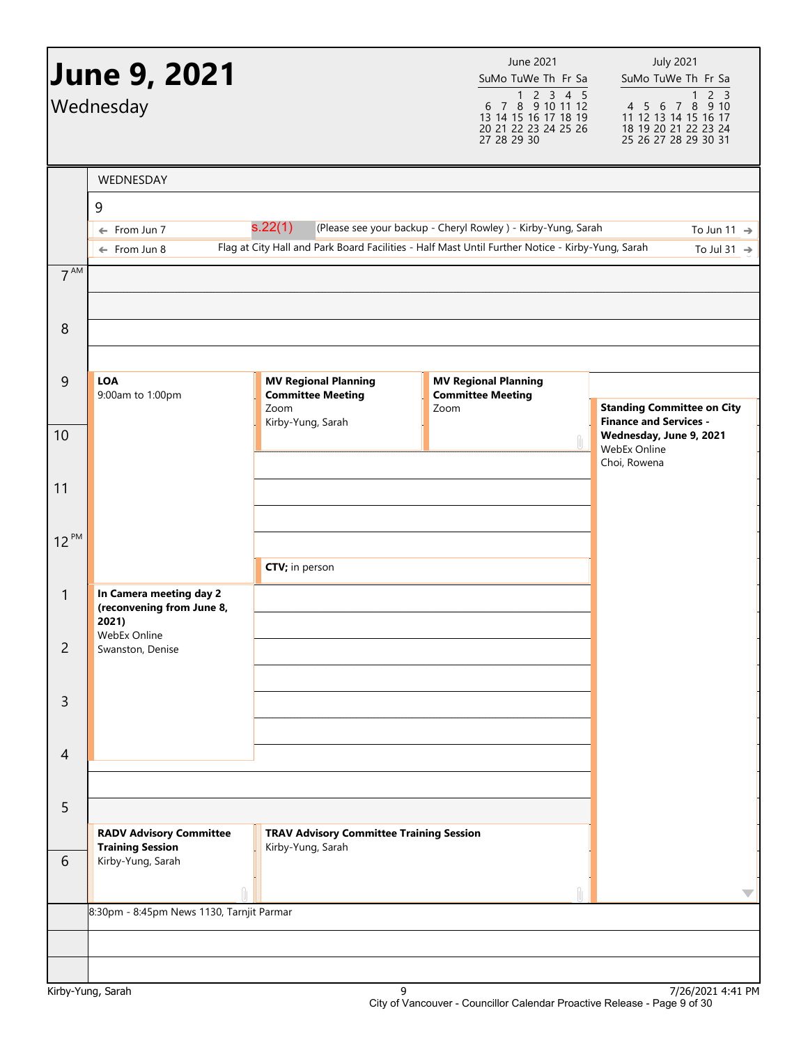|                | <b>June 9, 2021</b><br>Wednesday                     |                                                         | June 2021<br>SuMo TuWe Th Fr Sa<br>$\begin{array}{@{}c@{\hspace{1em}}c@{\hspace{1em}}c@{\hspace{1em}}c@{\hspace{1em}}c@{\hspace{1em}}c@{\hspace{1em}}c@{\hspace{1em}}c@{\hspace{1em}}c@{\hspace{1em}}c@{\hspace{1em}}c@{\hspace{1em}}c@{\hspace{1em}}c@{\hspace{1em}}c@{\hspace{1em}}c@{\hspace{1em}}c@{\hspace{1em}}c@{\hspace{1em}}c@{\hspace{1em}}c@{\hspace{1em}}c@{\hspace{1em}}c@{\hspace{1em}}c@{\hspace{1em}}c@{\hspace{1em}}c@{\hspace{$<br>13 14 15 16 17 18 19<br>20 21 22 23 24 25 26<br>27 28 29 30 | <b>July 2021</b><br>SuMo TuWe Th Fr Sa<br>2 <sub>3</sub><br>$\mathbf{1}$<br>4 5 6 7 8 9 10<br>11 12 13 14 15 16 17<br>18 19 20 21 22 23 24<br>25 26 27 28 29 30 31 |
|----------------|------------------------------------------------------|---------------------------------------------------------|------------------------------------------------------------------------------------------------------------------------------------------------------------------------------------------------------------------------------------------------------------------------------------------------------------------------------------------------------------------------------------------------------------------------------------------------------------------------------------------------------------------|--------------------------------------------------------------------------------------------------------------------------------------------------------------------|
|                | WEDNESDAY                                            |                                                         |                                                                                                                                                                                                                                                                                                                                                                                                                                                                                                                  |                                                                                                                                                                    |
|                | 9                                                    |                                                         |                                                                                                                                                                                                                                                                                                                                                                                                                                                                                                                  |                                                                                                                                                                    |
|                | From Jun 7<br>$\leftarrow$                           | s.22(1)                                                 | (Please see your backup - Cheryl Rowley ) - Kirby-Yung, Sarah                                                                                                                                                                                                                                                                                                                                                                                                                                                    | To Jun 11 $\rightarrow$                                                                                                                                            |
|                | $\leftarrow$ From Jun 8                              |                                                         | Flag at City Hall and Park Board Facilities - Half Mast Until Further Notice - Kirby-Yung, Sarah                                                                                                                                                                                                                                                                                                                                                                                                                 | To Jul 31 $\rightarrow$                                                                                                                                            |
| $7^{AM}$       |                                                      |                                                         |                                                                                                                                                                                                                                                                                                                                                                                                                                                                                                                  |                                                                                                                                                                    |
|                |                                                      |                                                         |                                                                                                                                                                                                                                                                                                                                                                                                                                                                                                                  |                                                                                                                                                                    |
| $\,8\,$        |                                                      |                                                         |                                                                                                                                                                                                                                                                                                                                                                                                                                                                                                                  |                                                                                                                                                                    |
| $\overline{9}$ | LOA<br>9:00am to 1:00pm                              | <b>MV Regional Planning</b><br><b>Committee Meeting</b> | <b>MV Regional Planning</b><br><b>Committee Meeting</b>                                                                                                                                                                                                                                                                                                                                                                                                                                                          |                                                                                                                                                                    |
|                |                                                      | Zoom<br>Kirby-Yung, Sarah                               | Zoom                                                                                                                                                                                                                                                                                                                                                                                                                                                                                                             | <b>Standing Committee on City</b><br><b>Finance and Services -</b>                                                                                                 |
| 10             |                                                      |                                                         |                                                                                                                                                                                                                                                                                                                                                                                                                                                                                                                  | Wednesday, June 9, 2021<br>WebEx Online                                                                                                                            |
|                |                                                      |                                                         |                                                                                                                                                                                                                                                                                                                                                                                                                                                                                                                  | Choi, Rowena                                                                                                                                                       |
| 11             |                                                      |                                                         |                                                                                                                                                                                                                                                                                                                                                                                                                                                                                                                  |                                                                                                                                                                    |
| $12^{PM}$      |                                                      |                                                         |                                                                                                                                                                                                                                                                                                                                                                                                                                                                                                                  |                                                                                                                                                                    |
|                |                                                      |                                                         |                                                                                                                                                                                                                                                                                                                                                                                                                                                                                                                  |                                                                                                                                                                    |
|                |                                                      | CTV; in person                                          |                                                                                                                                                                                                                                                                                                                                                                                                                                                                                                                  |                                                                                                                                                                    |
| $\mathbf{1}$   | In Camera meeting day 2<br>(reconvening from June 8, |                                                         |                                                                                                                                                                                                                                                                                                                                                                                                                                                                                                                  |                                                                                                                                                                    |
|                | 2021)<br><b>WebEx Online</b>                         |                                                         |                                                                                                                                                                                                                                                                                                                                                                                                                                                                                                                  |                                                                                                                                                                    |
| $\overline{c}$ | Swanston, Denise                                     |                                                         |                                                                                                                                                                                                                                                                                                                                                                                                                                                                                                                  |                                                                                                                                                                    |
| 3              |                                                      |                                                         |                                                                                                                                                                                                                                                                                                                                                                                                                                                                                                                  |                                                                                                                                                                    |
|                |                                                      |                                                         |                                                                                                                                                                                                                                                                                                                                                                                                                                                                                                                  |                                                                                                                                                                    |
| 4              |                                                      |                                                         |                                                                                                                                                                                                                                                                                                                                                                                                                                                                                                                  |                                                                                                                                                                    |
|                |                                                      |                                                         |                                                                                                                                                                                                                                                                                                                                                                                                                                                                                                                  |                                                                                                                                                                    |
| 5              |                                                      |                                                         |                                                                                                                                                                                                                                                                                                                                                                                                                                                                                                                  |                                                                                                                                                                    |
|                | <b>RADV Advisory Committee</b>                       | <b>TRAV Advisory Committee Training Session</b>         |                                                                                                                                                                                                                                                                                                                                                                                                                                                                                                                  |                                                                                                                                                                    |
| 6              | <b>Training Session</b><br>Kirby-Yung, Sarah         | Kirby-Yung, Sarah                                       |                                                                                                                                                                                                                                                                                                                                                                                                                                                                                                                  |                                                                                                                                                                    |
|                |                                                      |                                                         |                                                                                                                                                                                                                                                                                                                                                                                                                                                                                                                  |                                                                                                                                                                    |
|                | 8:30pm - 8:45pm News 1130, Tarnjit Parmar            |                                                         |                                                                                                                                                                                                                                                                                                                                                                                                                                                                                                                  | $\overline{\phantom{a}}$                                                                                                                                           |
|                |                                                      |                                                         |                                                                                                                                                                                                                                                                                                                                                                                                                                                                                                                  |                                                                                                                                                                    |
|                |                                                      |                                                         |                                                                                                                                                                                                                                                                                                                                                                                                                                                                                                                  |                                                                                                                                                                    |
|                |                                                      |                                                         |                                                                                                                                                                                                                                                                                                                                                                                                                                                                                                                  |                                                                                                                                                                    |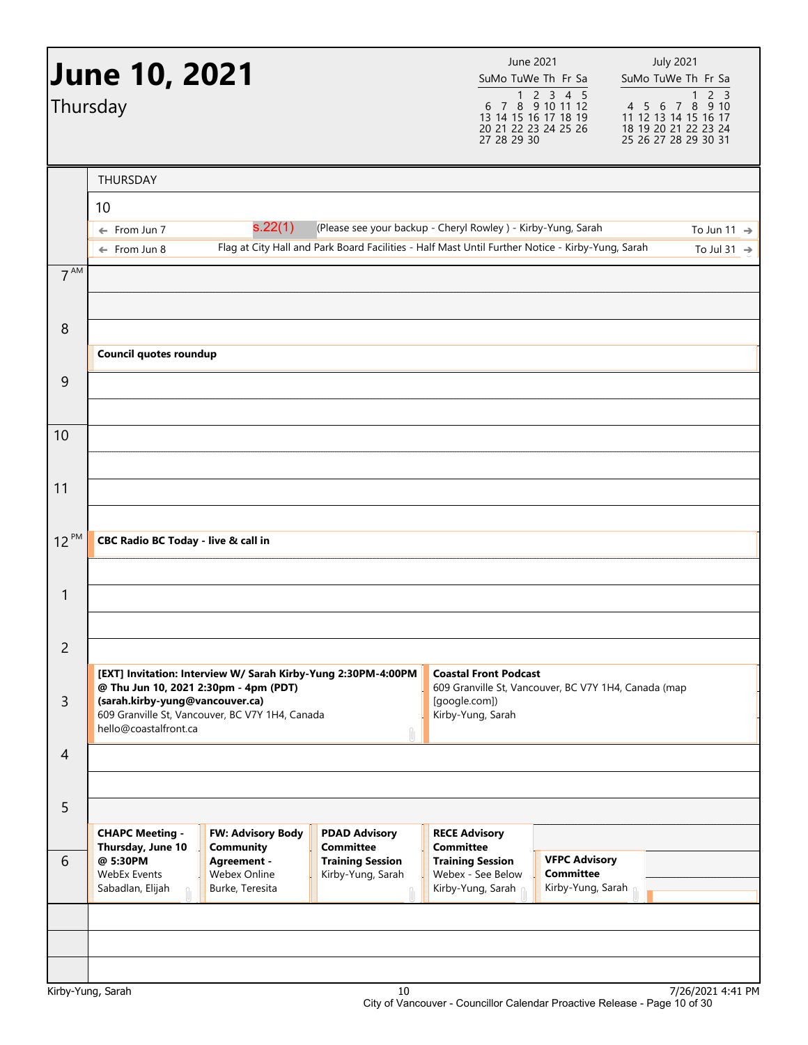| Thursday       | <b>June 10, 2021</b>                                                                                     |                                                                     | June 2021<br>SuMo TuWe Th Fr Sa<br>6<br>13 14 15 16 17 18 19<br>20 21 22 23 24 25 26<br>27 28 29 30                                                              | 1 2 3 4 5<br>7 8 9 10 11 12           | <b>July 2021</b><br>SuMo TuWe Th Fr Sa<br>$\mathbf{1}$<br>4 5 6 7 8 9 10<br>11 12 13 14 15 16 17<br>18 19 20 21 22 23 24<br>25 26 27 28 29 30 31 | 2 <sup>3</sup>                                     |
|----------------|----------------------------------------------------------------------------------------------------------|---------------------------------------------------------------------|------------------------------------------------------------------------------------------------------------------------------------------------------------------|---------------------------------------|--------------------------------------------------------------------------------------------------------------------------------------------------|----------------------------------------------------|
|                | THURSDAY                                                                                                 |                                                                     |                                                                                                                                                                  |                                       |                                                                                                                                                  |                                                    |
|                | 10                                                                                                       |                                                                     |                                                                                                                                                                  |                                       |                                                                                                                                                  |                                                    |
|                | s.22(1)<br>$\leftarrow$ From Jun 7<br>$\leftarrow$ From Jun 8                                            |                                                                     | (Please see your backup - Cheryl Rowley) - Kirby-Yung, Sarah<br>Flag at City Hall and Park Board Facilities - Half Mast Until Further Notice - Kirby-Yung, Sarah |                                       |                                                                                                                                                  | To Jun 11 $\rightarrow$<br>To Jul 31 $\rightarrow$ |
| $7^{AM}$       |                                                                                                          |                                                                     |                                                                                                                                                                  |                                       |                                                                                                                                                  |                                                    |
|                |                                                                                                          |                                                                     |                                                                                                                                                                  |                                       |                                                                                                                                                  |                                                    |
| 8              |                                                                                                          |                                                                     |                                                                                                                                                                  |                                       |                                                                                                                                                  |                                                    |
|                | Council quotes roundup                                                                                   |                                                                     |                                                                                                                                                                  |                                       |                                                                                                                                                  |                                                    |
| 9              |                                                                                                          |                                                                     |                                                                                                                                                                  |                                       |                                                                                                                                                  |                                                    |
|                |                                                                                                          |                                                                     |                                                                                                                                                                  |                                       |                                                                                                                                                  |                                                    |
| 10             |                                                                                                          |                                                                     |                                                                                                                                                                  |                                       |                                                                                                                                                  |                                                    |
|                |                                                                                                          |                                                                     |                                                                                                                                                                  |                                       |                                                                                                                                                  |                                                    |
| 11             |                                                                                                          |                                                                     |                                                                                                                                                                  |                                       |                                                                                                                                                  |                                                    |
|                |                                                                                                          |                                                                     |                                                                                                                                                                  |                                       |                                                                                                                                                  |                                                    |
| 12 PM          | CBC Radio BC Today - live & call in                                                                      |                                                                     |                                                                                                                                                                  |                                       |                                                                                                                                                  |                                                    |
|                |                                                                                                          |                                                                     |                                                                                                                                                                  |                                       |                                                                                                                                                  |                                                    |
| 1              |                                                                                                          |                                                                     |                                                                                                                                                                  |                                       |                                                                                                                                                  |                                                    |
|                |                                                                                                          |                                                                     |                                                                                                                                                                  |                                       |                                                                                                                                                  |                                                    |
| $\overline{c}$ |                                                                                                          |                                                                     |                                                                                                                                                                  |                                       |                                                                                                                                                  |                                                    |
|                | [EXT] Invitation: Interview W/ Sarah Kirby-Yung 2:30PM-4:00PM<br>@ Thu Jun 10, 2021 2:30pm - 4pm (PDT)   |                                                                     | <b>Coastal Front Podcast</b><br>609 Granville St, Vancouver, BC V7Y 1H4, Canada (map                                                                             |                                       |                                                                                                                                                  |                                                    |
| $\overline{3}$ | (sarah.kirby-yung@vancouver.ca)<br>609 Granville St, Vancouver, BC V7Y 1H4, Canada                       |                                                                     | [google.com])<br>Kirby-Yung, Sarah                                                                                                                               |                                       |                                                                                                                                                  |                                                    |
|                | hello@coastalfront.ca                                                                                    |                                                                     |                                                                                                                                                                  |                                       |                                                                                                                                                  |                                                    |
| 4              |                                                                                                          |                                                                     |                                                                                                                                                                  |                                       |                                                                                                                                                  |                                                    |
|                |                                                                                                          |                                                                     |                                                                                                                                                                  |                                       |                                                                                                                                                  |                                                    |
| 5              |                                                                                                          |                                                                     |                                                                                                                                                                  |                                       |                                                                                                                                                  |                                                    |
| 6              | <b>CHAPC Meeting -</b><br>FW: Advisory Body<br>Thursday, June 10<br>Community<br>@ 5:30PM<br>Agreement - | <b>PDAD Advisory</b><br><b>Committee</b><br><b>Training Session</b> | <b>RECE Advisory</b><br><b>Committee</b><br><b>Training Session</b>                                                                                              | <b>VFPC Advisory</b>                  |                                                                                                                                                  |                                                    |
|                | Webex Online<br><b>WebEx Events</b>                                                                      | Kirby-Yung, Sarah                                                   | Webex - See Below                                                                                                                                                | <b>Committee</b><br>Kirby-Yung, Sarah |                                                                                                                                                  |                                                    |
|                | Sabadlan, Elijah<br>Burke, Teresita                                                                      |                                                                     | Kirby-Yung, Sarah                                                                                                                                                |                                       |                                                                                                                                                  |                                                    |
|                |                                                                                                          |                                                                     |                                                                                                                                                                  |                                       |                                                                                                                                                  |                                                    |
|                |                                                                                                          |                                                                     |                                                                                                                                                                  |                                       |                                                                                                                                                  |                                                    |
|                |                                                                                                          |                                                                     |                                                                                                                                                                  |                                       |                                                                                                                                                  |                                                    |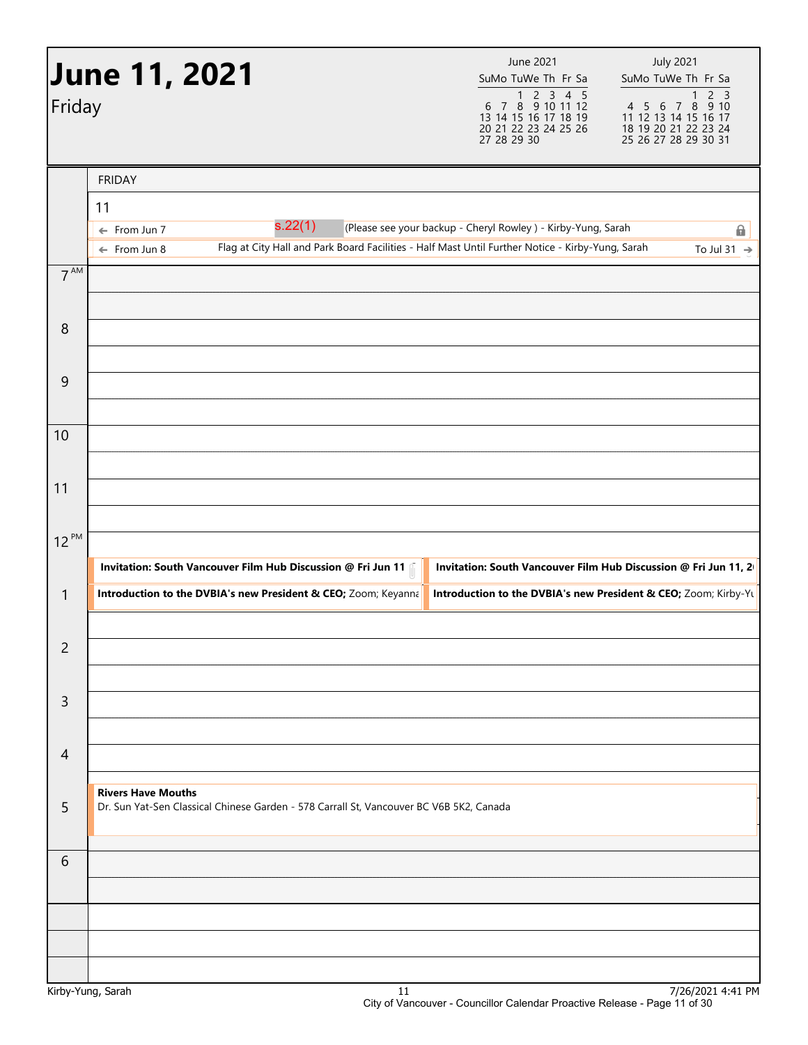| Friday          | <b>June 11, 2021</b>                                                                                                                                   | June 2021<br>SuMo TuWe Th Fr Sa<br>$\begin{array}{ccccccccc}\n & & 1 & 2 & 3 & 4 & 5 \\ 6 & 7 & 8 & 9 & 10 & 11 & 12\n\end{array}$<br>13 14 15 16 17 18 19<br>20 21 22 23 24 25 26<br>27 28 29 30 | <b>July 2021</b><br>SuMo TuWe Th Fr Sa<br>2 <sup>3</sup><br>1<br>4 5 6 7 8<br>9 10<br>11 12 13 14 15 16 17<br>18 19 20 21 22 23 24<br>25 26 27 28 29 30 31 |
|-----------------|--------------------------------------------------------------------------------------------------------------------------------------------------------|---------------------------------------------------------------------------------------------------------------------------------------------------------------------------------------------------|------------------------------------------------------------------------------------------------------------------------------------------------------------|
|                 | <b>FRIDAY</b>                                                                                                                                          |                                                                                                                                                                                                   |                                                                                                                                                            |
|                 | 11                                                                                                                                                     |                                                                                                                                                                                                   |                                                                                                                                                            |
|                 | s.22(1)<br>← From Jun 7<br>Flag at City Hall and Park Board Facilities - Half Mast Until Further Notice - Kirby-Yung, Sarah<br>$\leftarrow$ From Jun 8 | (Please see your backup - Cheryl Rowley ) - Kirby-Yung, Sarah                                                                                                                                     | 6<br>To Jul 31 $\rightarrow$                                                                                                                               |
| $7^{\text{AM}}$ |                                                                                                                                                        |                                                                                                                                                                                                   |                                                                                                                                                            |
| 8               |                                                                                                                                                        |                                                                                                                                                                                                   |                                                                                                                                                            |
| 9               |                                                                                                                                                        |                                                                                                                                                                                                   |                                                                                                                                                            |
| 10              |                                                                                                                                                        |                                                                                                                                                                                                   |                                                                                                                                                            |
| 11              |                                                                                                                                                        |                                                                                                                                                                                                   |                                                                                                                                                            |
| $12^{PM}$       |                                                                                                                                                        |                                                                                                                                                                                                   |                                                                                                                                                            |
|                 | Invitation: South Vancouver Film Hub Discussion @ Fri Jun 11                                                                                           | Invitation: South Vancouver Film Hub Discussion @ Fri Jun 11, 2                                                                                                                                   |                                                                                                                                                            |
| 1               | Introduction to the DVBIA's new President & CEO; Zoom; Keyanna                                                                                         | Introduction to the DVBIA's new President & CEO; Zoom; Kirby-Yu                                                                                                                                   |                                                                                                                                                            |
| $\overline{c}$  |                                                                                                                                                        |                                                                                                                                                                                                   |                                                                                                                                                            |
| $\mathsf{3}$    |                                                                                                                                                        |                                                                                                                                                                                                   |                                                                                                                                                            |
| $\overline{4}$  |                                                                                                                                                        |                                                                                                                                                                                                   |                                                                                                                                                            |
| 5               | <b>Rivers Have Mouths</b><br>Dr. Sun Yat-Sen Classical Chinese Garden - 578 Carrall St, Vancouver BC V6B 5K2, Canada                                   |                                                                                                                                                                                                   |                                                                                                                                                            |
| 6               |                                                                                                                                                        |                                                                                                                                                                                                   |                                                                                                                                                            |
|                 |                                                                                                                                                        |                                                                                                                                                                                                   |                                                                                                                                                            |
|                 | Kirby-Yung, Sarah<br>11                                                                                                                                |                                                                                                                                                                                                   | 7/26/2021 4:41 PM                                                                                                                                          |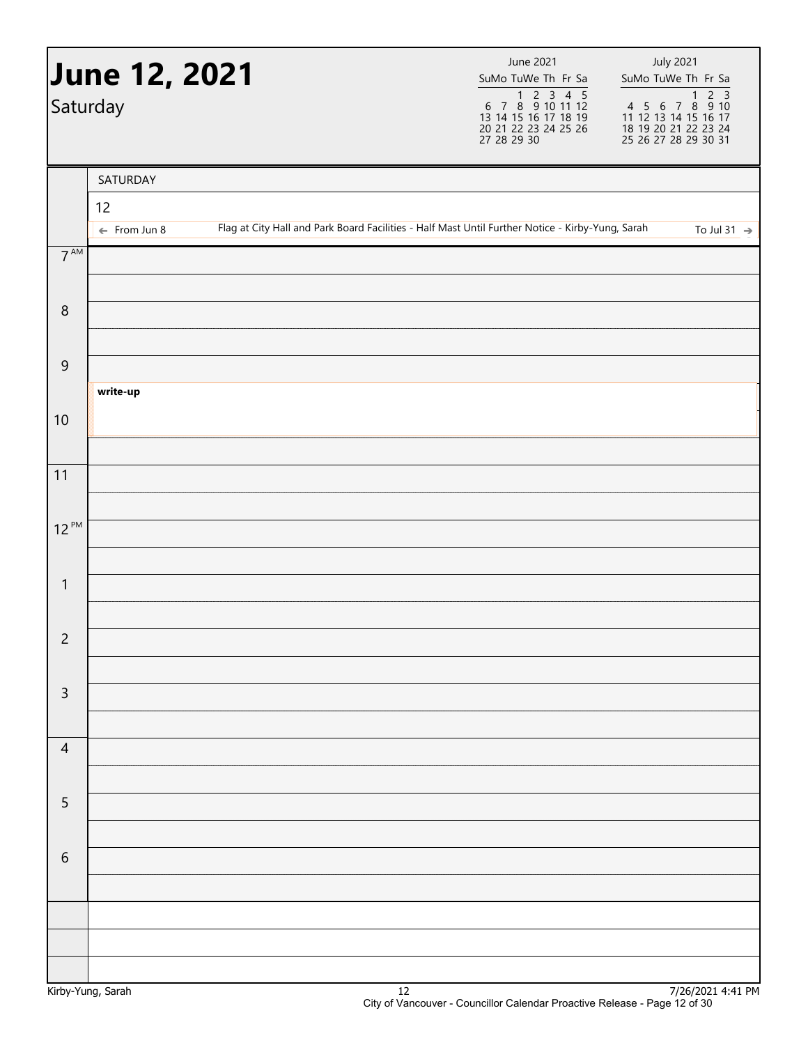|                 | <b>June 12, 2021</b><br>Saturday |  | June 2021<br>SuMo TuWe Th Fr Sa<br>1 2 3 4 5<br>6 7 8 9 10 11 12<br>13 14 15 16 17 18 19<br>20 21 22 23 24 25 26<br>27 28 29 30 | <b>July 2021</b><br>SuMo TuWe Th Fr Sa |
|-----------------|----------------------------------|--|---------------------------------------------------------------------------------------------------------------------------------|----------------------------------------|
|                 | SATURDAY                         |  |                                                                                                                                 |                                        |
|                 | 12                               |  |                                                                                                                                 |                                        |
| $7^{\text{AM}}$ | $\leftarrow$ From Jun 8          |  | Flag at City Hall and Park Board Facilities - Half Mast Until Further Notice - Kirby-Yung, Sarah                                | To Jul 31 $\rightarrow$                |
| $\, 8$          |                                  |  |                                                                                                                                 |                                        |
|                 |                                  |  |                                                                                                                                 |                                        |
| $\overline{9}$  |                                  |  |                                                                                                                                 |                                        |
|                 | write-up                         |  |                                                                                                                                 |                                        |
| 10              |                                  |  |                                                                                                                                 |                                        |
| 11              |                                  |  |                                                                                                                                 |                                        |
|                 |                                  |  |                                                                                                                                 |                                        |
| $12^{PM}$       |                                  |  |                                                                                                                                 |                                        |
| $\mathbf{1}$    |                                  |  |                                                                                                                                 |                                        |
|                 |                                  |  |                                                                                                                                 |                                        |
| $\overline{2}$  |                                  |  |                                                                                                                                 |                                        |
| $\mathsf{3}$    |                                  |  |                                                                                                                                 |                                        |
|                 |                                  |  |                                                                                                                                 |                                        |
| $\overline{4}$  |                                  |  |                                                                                                                                 |                                        |
| 5               |                                  |  |                                                                                                                                 |                                        |
|                 |                                  |  |                                                                                                                                 |                                        |
| $\sqrt{6}$      |                                  |  |                                                                                                                                 |                                        |
|                 |                                  |  |                                                                                                                                 |                                        |
|                 |                                  |  |                                                                                                                                 |                                        |
|                 |                                  |  |                                                                                                                                 |                                        |
|                 |                                  |  |                                                                                                                                 |                                        |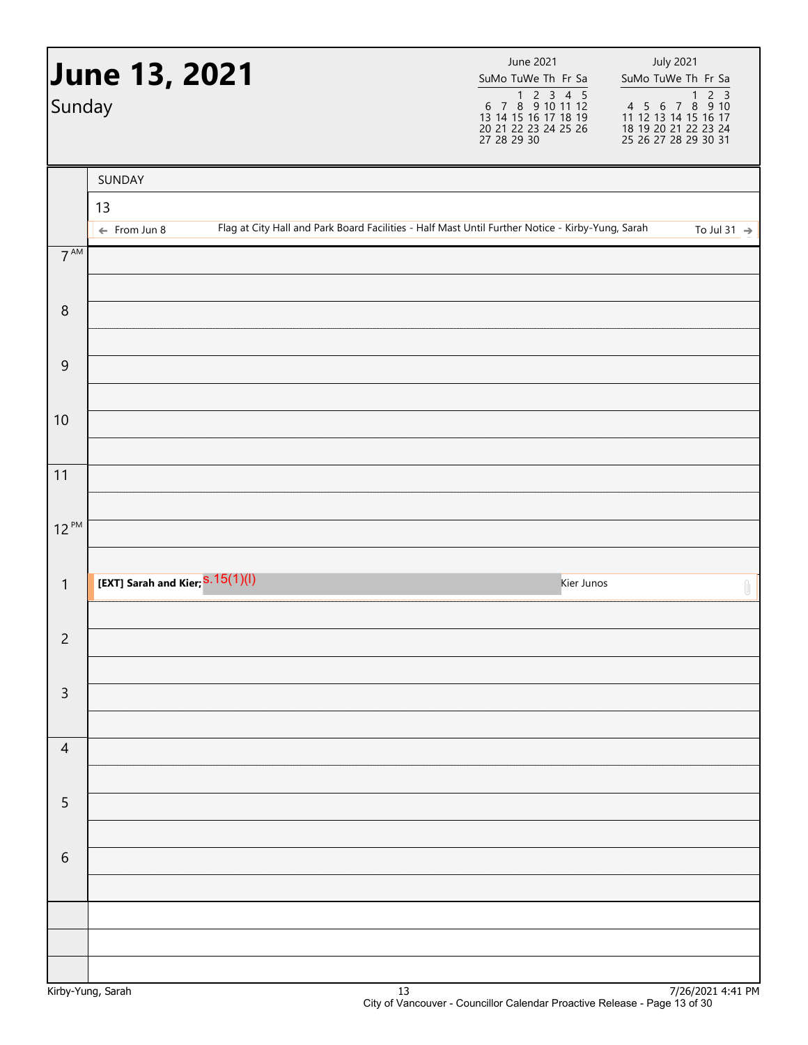| SUNDAY<br>13<br>Flag at City Hall and Park Board Facilities - Half Mast Until Further Notice - Kirby-Yung, Sarah<br>$\leftarrow$ From Jun 8<br>$7^{\text{AM}}$<br>8<br>9<br>10<br>11<br>$12^{PM}$<br>[EXT] Sarah and Kier; S.15(1)(1)<br>$\mathbf{1}$<br>Kier Junos<br>$\overline{c}$<br>$\mathsf{3}$<br>$\overline{4}$ |                                                                  |
|-------------------------------------------------------------------------------------------------------------------------------------------------------------------------------------------------------------------------------------------------------------------------------------------------------------------------|------------------------------------------------------------------|
|                                                                                                                                                                                                                                                                                                                         |                                                                  |
|                                                                                                                                                                                                                                                                                                                         |                                                                  |
|                                                                                                                                                                                                                                                                                                                         | To Jul 31 $\rightarrow$                                          |
|                                                                                                                                                                                                                                                                                                                         |                                                                  |
|                                                                                                                                                                                                                                                                                                                         |                                                                  |
|                                                                                                                                                                                                                                                                                                                         |                                                                  |
|                                                                                                                                                                                                                                                                                                                         |                                                                  |
|                                                                                                                                                                                                                                                                                                                         |                                                                  |
|                                                                                                                                                                                                                                                                                                                         |                                                                  |
|                                                                                                                                                                                                                                                                                                                         | $\begin{matrix} \begin{matrix} 0 \\ 1 \end{matrix} \end{matrix}$ |
|                                                                                                                                                                                                                                                                                                                         |                                                                  |
|                                                                                                                                                                                                                                                                                                                         |                                                                  |
|                                                                                                                                                                                                                                                                                                                         |                                                                  |
| 5                                                                                                                                                                                                                                                                                                                       |                                                                  |
| 6                                                                                                                                                                                                                                                                                                                       |                                                                  |
|                                                                                                                                                                                                                                                                                                                         |                                                                  |
|                                                                                                                                                                                                                                                                                                                         |                                                                  |
|                                                                                                                                                                                                                                                                                                                         |                                                                  |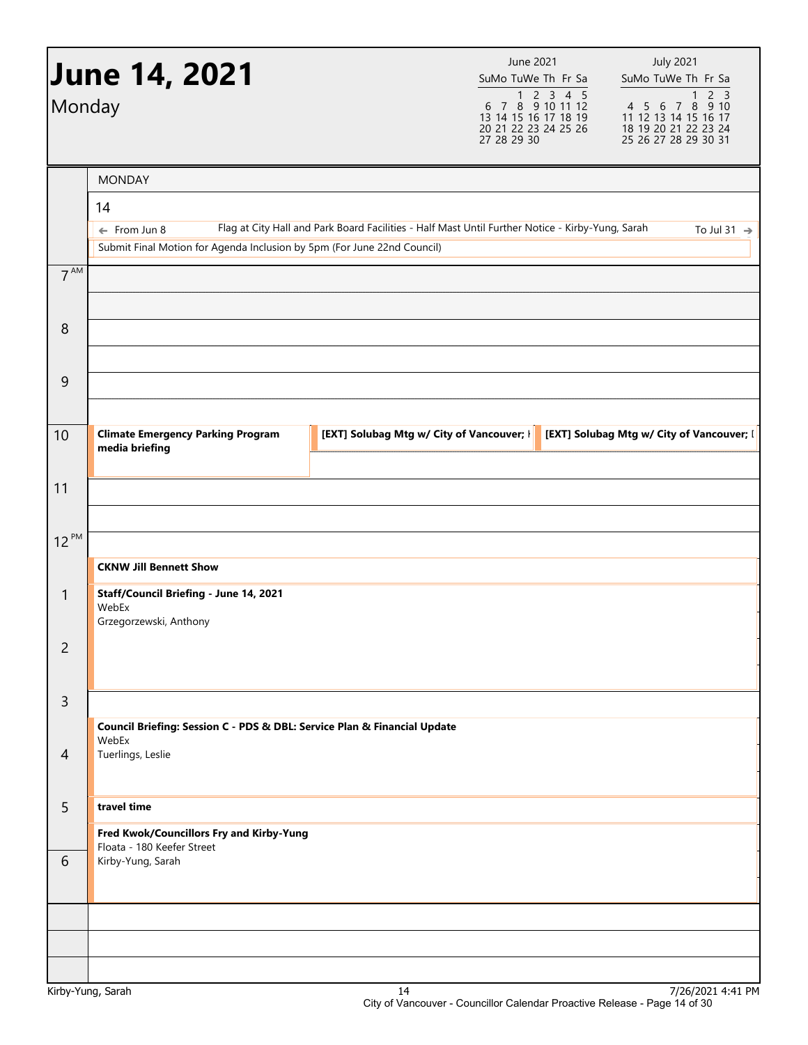| Monday          | <b>June 14, 2021</b>                                                                               |                                                                                                  | <b>June 2021</b><br>SuMo TuWe Th Fr Sa<br>$\begin{array}{@{}c@{\hspace{1em}}c@{\hspace{1em}}c@{\hspace{1em}}c@{\hspace{1em}}c@{\hspace{1em}}c@{\hspace{1em}}c@{\hspace{1em}}c@{\hspace{1em}}c@{\hspace{1em}}c@{\hspace{1em}}c@{\hspace{1em}}c@{\hspace{1em}}c@{\hspace{1em}}c@{\hspace{1em}}c@{\hspace{1em}}c@{\hspace{1em}}c@{\hspace{1em}}c@{\hspace{1em}}c@{\hspace{1em}}c@{\hspace{1em}}c@{\hspace{1em}}c@{\hspace{1em}}c@{\hspace{1em}}c@{\hspace{$<br>13 14 15 16 17 18 19<br>20 21 22 23 24 25 26<br>27 28 29 30 | <b>July 2021</b><br>SuMo TuWe Th Fr Sa<br>2 <sub>3</sub><br>$\mathbf{1}$<br>4 5 6 7 8 9 10<br>11 12 13 14 15 16 17<br>18 19 20 21 22 23 24<br>25 26 27 28 29 30 31 |
|-----------------|----------------------------------------------------------------------------------------------------|--------------------------------------------------------------------------------------------------|-------------------------------------------------------------------------------------------------------------------------------------------------------------------------------------------------------------------------------------------------------------------------------------------------------------------------------------------------------------------------------------------------------------------------------------------------------------------------------------------------------------------------|--------------------------------------------------------------------------------------------------------------------------------------------------------------------|
|                 | <b>MONDAY</b><br>14                                                                                |                                                                                                  |                                                                                                                                                                                                                                                                                                                                                                                                                                                                                                                         |                                                                                                                                                                    |
|                 | $\leftarrow$ From Jun 8<br>Submit Final Motion for Agenda Inclusion by 5pm (For June 22nd Council) | Flag at City Hall and Park Board Facilities - Half Mast Until Further Notice - Kirby-Yung, Sarah |                                                                                                                                                                                                                                                                                                                                                                                                                                                                                                                         | To Jul 31 $\rightarrow$                                                                                                                                            |
| 7 <sup>AM</sup> |                                                                                                    |                                                                                                  |                                                                                                                                                                                                                                                                                                                                                                                                                                                                                                                         |                                                                                                                                                                    |
| 8               |                                                                                                    |                                                                                                  |                                                                                                                                                                                                                                                                                                                                                                                                                                                                                                                         |                                                                                                                                                                    |
| 9               |                                                                                                    |                                                                                                  |                                                                                                                                                                                                                                                                                                                                                                                                                                                                                                                         |                                                                                                                                                                    |
| 10              | <b>Climate Emergency Parking Program</b><br>media briefing                                         | [EXT] Solubag Mtg w/ City of Vancouver;                                                          |                                                                                                                                                                                                                                                                                                                                                                                                                                                                                                                         | [EXT] Solubag Mtg w/ City of Vancouver; [                                                                                                                          |
| 11              |                                                                                                    |                                                                                                  |                                                                                                                                                                                                                                                                                                                                                                                                                                                                                                                         |                                                                                                                                                                    |
| $12^{PM}$       |                                                                                                    |                                                                                                  |                                                                                                                                                                                                                                                                                                                                                                                                                                                                                                                         |                                                                                                                                                                    |
|                 | <b>CKNW Jill Bennett Show</b>                                                                      |                                                                                                  |                                                                                                                                                                                                                                                                                                                                                                                                                                                                                                                         |                                                                                                                                                                    |
| $\mathbf{1}$    | Staff/Council Briefing - June 14, 2021<br>WebEx<br>Grzegorzewski, Anthony                          |                                                                                                  |                                                                                                                                                                                                                                                                                                                                                                                                                                                                                                                         |                                                                                                                                                                    |
| 2               |                                                                                                    |                                                                                                  |                                                                                                                                                                                                                                                                                                                                                                                                                                                                                                                         |                                                                                                                                                                    |
| 3               |                                                                                                    |                                                                                                  |                                                                                                                                                                                                                                                                                                                                                                                                                                                                                                                         |                                                                                                                                                                    |
|                 | Council Briefing: Session C - PDS & DBL: Service Plan & Financial Update<br>WebEx                  |                                                                                                  |                                                                                                                                                                                                                                                                                                                                                                                                                                                                                                                         |                                                                                                                                                                    |
| $\overline{4}$  | Tuerlings, Leslie                                                                                  |                                                                                                  |                                                                                                                                                                                                                                                                                                                                                                                                                                                                                                                         |                                                                                                                                                                    |
| 5               | travel time<br>Fred Kwok/Councillors Fry and Kirby-Yung                                            |                                                                                                  |                                                                                                                                                                                                                                                                                                                                                                                                                                                                                                                         |                                                                                                                                                                    |
| 6               | Floata - 180 Keefer Street<br>Kirby-Yung, Sarah                                                    |                                                                                                  |                                                                                                                                                                                                                                                                                                                                                                                                                                                                                                                         |                                                                                                                                                                    |
|                 |                                                                                                    |                                                                                                  |                                                                                                                                                                                                                                                                                                                                                                                                                                                                                                                         |                                                                                                                                                                    |
|                 |                                                                                                    |                                                                                                  |                                                                                                                                                                                                                                                                                                                                                                                                                                                                                                                         |                                                                                                                                                                    |
|                 |                                                                                                    |                                                                                                  |                                                                                                                                                                                                                                                                                                                                                                                                                                                                                                                         | $7/26/2021$ 4.41 BM                                                                                                                                                |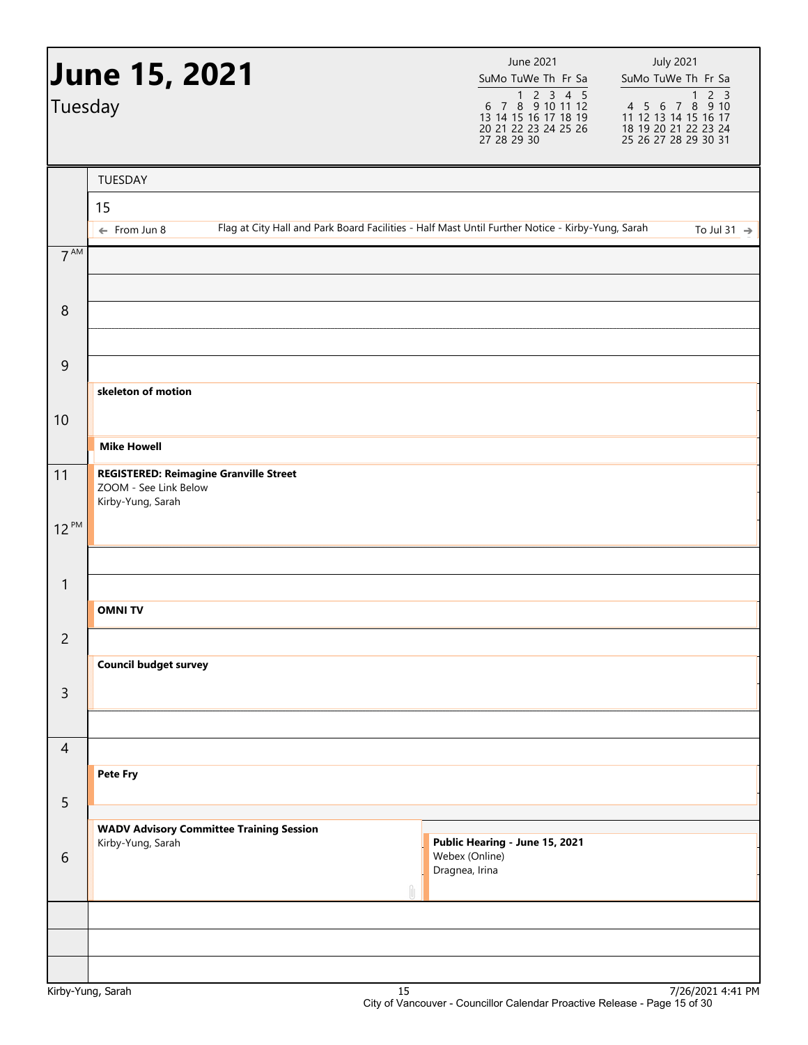| Tuesday         | <b>June 15, 2021</b>                                                                        | June 2021<br>SuMo TuWe Th Fr Sa<br>$\begin{array}{@{}c@{\hspace{1em}}c@{\hspace{1em}}c@{\hspace{1em}}c@{\hspace{1em}}c@{\hspace{1em}}c@{\hspace{1em}}c@{\hspace{1em}}c@{\hspace{1em}}c@{\hspace{1em}}c@{\hspace{1em}}c@{\hspace{1em}}c@{\hspace{1em}}c@{\hspace{1em}}c@{\hspace{1em}}c@{\hspace{1em}}c@{\hspace{1em}}c@{\hspace{1em}}c@{\hspace{1em}}c@{\hspace{1em}}c@{\hspace{1em}}c@{\hspace{1em}}c@{\hspace{1em}}c@{\hspace{1em}}c@{\hspace{$<br>13 14 15 16 17 18 19<br>20 21 22 23 24 25 26<br>27 28 29 30 | <b>July 2021</b><br>SuMo TuWe Th Fr Sa<br>1 2 3<br>4 5 6 7 8 9 10<br>11 12 13 14 15 16 17<br>18 19 20 21 22 23 24<br>25 26 27 28 29 30 31 |
|-----------------|---------------------------------------------------------------------------------------------|------------------------------------------------------------------------------------------------------------------------------------------------------------------------------------------------------------------------------------------------------------------------------------------------------------------------------------------------------------------------------------------------------------------------------------------------------------------------------------------------------------------|-------------------------------------------------------------------------------------------------------------------------------------------|
|                 | TUESDAY                                                                                     |                                                                                                                                                                                                                                                                                                                                                                                                                                                                                                                  |                                                                                                                                           |
|                 | 15                                                                                          |                                                                                                                                                                                                                                                                                                                                                                                                                                                                                                                  |                                                                                                                                           |
| 7 <sup>AM</sup> | $\leftarrow$ From Jun 8                                                                     | Flag at City Hall and Park Board Facilities - Half Mast Until Further Notice - Kirby-Yung, Sarah                                                                                                                                                                                                                                                                                                                                                                                                                 | To Jul 31 $\rightarrow$                                                                                                                   |
|                 |                                                                                             |                                                                                                                                                                                                                                                                                                                                                                                                                                                                                                                  |                                                                                                                                           |
| 8               |                                                                                             |                                                                                                                                                                                                                                                                                                                                                                                                                                                                                                                  |                                                                                                                                           |
| 9               |                                                                                             |                                                                                                                                                                                                                                                                                                                                                                                                                                                                                                                  |                                                                                                                                           |
|                 | skeleton of motion                                                                          |                                                                                                                                                                                                                                                                                                                                                                                                                                                                                                                  |                                                                                                                                           |
| 10              |                                                                                             |                                                                                                                                                                                                                                                                                                                                                                                                                                                                                                                  |                                                                                                                                           |
|                 | <b>Mike Howell</b>                                                                          |                                                                                                                                                                                                                                                                                                                                                                                                                                                                                                                  |                                                                                                                                           |
| 11              | <b>REGISTERED: Reimagine Granville Street</b><br>ZOOM - See Link Below<br>Kirby-Yung, Sarah |                                                                                                                                                                                                                                                                                                                                                                                                                                                                                                                  |                                                                                                                                           |
| $12^{PM}$       |                                                                                             |                                                                                                                                                                                                                                                                                                                                                                                                                                                                                                                  |                                                                                                                                           |
| $\mathbf{1}$    |                                                                                             |                                                                                                                                                                                                                                                                                                                                                                                                                                                                                                                  |                                                                                                                                           |
|                 | <b>OMNITV</b>                                                                               |                                                                                                                                                                                                                                                                                                                                                                                                                                                                                                                  |                                                                                                                                           |
| $\overline{c}$  |                                                                                             |                                                                                                                                                                                                                                                                                                                                                                                                                                                                                                                  |                                                                                                                                           |
|                 | <b>Council budget survey</b>                                                                |                                                                                                                                                                                                                                                                                                                                                                                                                                                                                                                  |                                                                                                                                           |
| 3               |                                                                                             |                                                                                                                                                                                                                                                                                                                                                                                                                                                                                                                  |                                                                                                                                           |
|                 |                                                                                             |                                                                                                                                                                                                                                                                                                                                                                                                                                                                                                                  |                                                                                                                                           |
| $\overline{4}$  |                                                                                             |                                                                                                                                                                                                                                                                                                                                                                                                                                                                                                                  |                                                                                                                                           |
|                 | Pete Fry                                                                                    |                                                                                                                                                                                                                                                                                                                                                                                                                                                                                                                  |                                                                                                                                           |
| 5               | <b>WADV Advisory Committee Training Session</b>                                             |                                                                                                                                                                                                                                                                                                                                                                                                                                                                                                                  |                                                                                                                                           |
| 6               | Kirby-Yung, Sarah                                                                           | Public Hearing - June 15, 2021<br>Webex (Online)<br>Dragnea, Irina                                                                                                                                                                                                                                                                                                                                                                                                                                               |                                                                                                                                           |
|                 |                                                                                             |                                                                                                                                                                                                                                                                                                                                                                                                                                                                                                                  |                                                                                                                                           |
|                 |                                                                                             |                                                                                                                                                                                                                                                                                                                                                                                                                                                                                                                  |                                                                                                                                           |
|                 |                                                                                             |                                                                                                                                                                                                                                                                                                                                                                                                                                                                                                                  |                                                                                                                                           |
|                 |                                                                                             |                                                                                                                                                                                                                                                                                                                                                                                                                                                                                                                  | 7/26/2003                                                                                                                                 |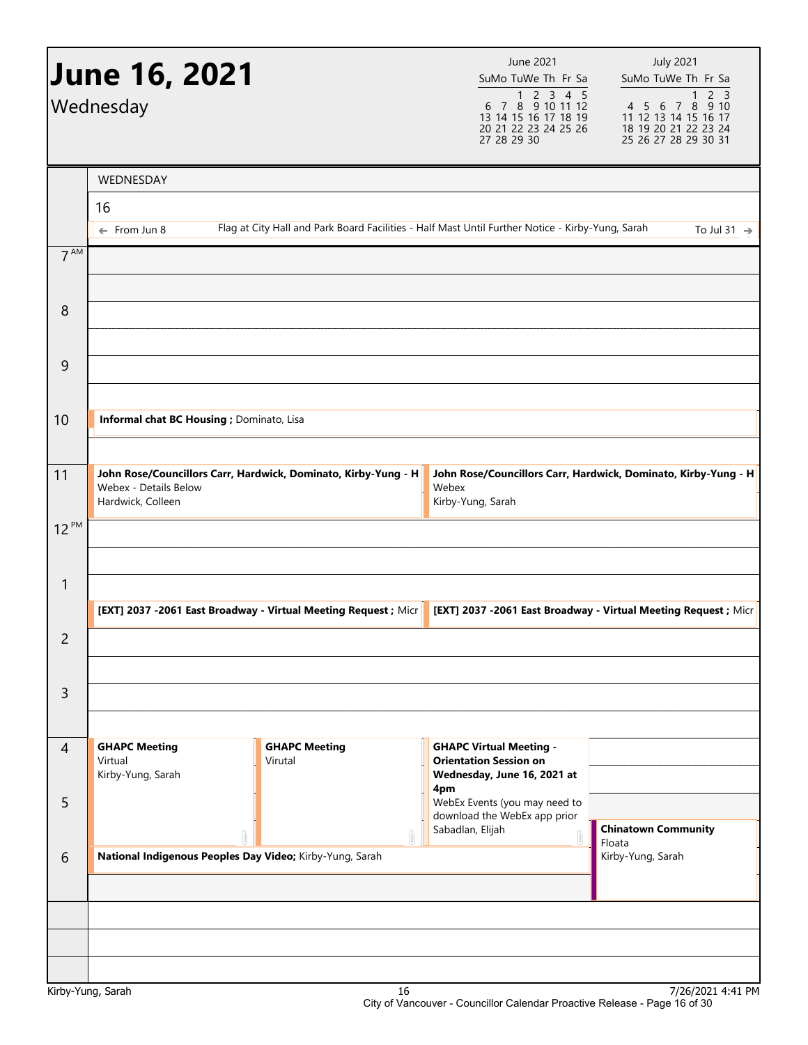| <b>June 16, 2021</b><br>Wednesday |                                                      |                                                                                                  | June 2021<br><b>July 2021</b><br>SuMo TuWe Th Fr Sa<br>SuMo TuWe Th Fr Sa<br>$4 5 6 7 8 9 10$<br>1 1 2 1 2 1 4 5 6 7 8 9 10<br>1 2 3 4 5<br>6 7 8 9 10 11 12<br>13 14 15 16 17 18 19<br>11 12 13 14 15 16 17<br>20 21 22 23 24 25 26<br>18 19 20 21 22 23 24<br>27 28 29 30<br>25 26 27 28 29 30 31 |                                                                 |  |  |
|-----------------------------------|------------------------------------------------------|--------------------------------------------------------------------------------------------------|-----------------------------------------------------------------------------------------------------------------------------------------------------------------------------------------------------------------------------------------------------------------------------------------------------|-----------------------------------------------------------------|--|--|
|                                   | WEDNESDAY                                            |                                                                                                  |                                                                                                                                                                                                                                                                                                     |                                                                 |  |  |
|                                   | 16                                                   |                                                                                                  |                                                                                                                                                                                                                                                                                                     |                                                                 |  |  |
|                                   | $\leftarrow$ From Jun 8                              | Flag at City Hall and Park Board Facilities - Half Mast Until Further Notice - Kirby-Yung, Sarah |                                                                                                                                                                                                                                                                                                     | To Jul 31 $\rightarrow$                                         |  |  |
| 7 <sup>AM</sup>                   |                                                      |                                                                                                  |                                                                                                                                                                                                                                                                                                     |                                                                 |  |  |
| 8                                 |                                                      |                                                                                                  |                                                                                                                                                                                                                                                                                                     |                                                                 |  |  |
| 9                                 |                                                      |                                                                                                  |                                                                                                                                                                                                                                                                                                     |                                                                 |  |  |
| 10                                | Informal chat BC Housing ; Dominato, Lisa            |                                                                                                  |                                                                                                                                                                                                                                                                                                     |                                                                 |  |  |
| 11                                | Webex - Details Below<br>Hardwick, Colleen           | John Rose/Councillors Carr, Hardwick, Dominato, Kirby-Yung - H                                   | Webex<br>Kirby-Yung, Sarah                                                                                                                                                                                                                                                                          | John Rose/Councillors Carr, Hardwick, Dominato, Kirby-Yung - H  |  |  |
| $12^{PM}$                         |                                                      |                                                                                                  |                                                                                                                                                                                                                                                                                                     |                                                                 |  |  |
| $\mathbf{1}$                      |                                                      | [EXT] 2037 -2061 East Broadway - Virtual Meeting Request ; Micr                                  |                                                                                                                                                                                                                                                                                                     | [EXT] 2037 -2061 East Broadway - Virtual Meeting Request ; Micr |  |  |
| 2                                 |                                                      |                                                                                                  |                                                                                                                                                                                                                                                                                                     |                                                                 |  |  |
| 3                                 |                                                      |                                                                                                  |                                                                                                                                                                                                                                                                                                     |                                                                 |  |  |
| $\overline{4}$                    | <b>GHAPC Meeting</b><br>Virtual<br>Kirby-Yung, Sarah | <b>GHAPC Meeting</b><br>Virutal                                                                  | <b>GHAPC Virtual Meeting -</b><br><b>Orientation Session on</b><br>Wednesday, June 16, 2021 at                                                                                                                                                                                                      |                                                                 |  |  |
| 5                                 |                                                      |                                                                                                  | 4pm<br>WebEx Events (you may need to<br>download the WebEx app prior<br>Sabadlan, Elijah<br>Ù                                                                                                                                                                                                       | <b>Chinatown Community</b>                                      |  |  |
| 6                                 |                                                      | National Indigenous Peoples Day Video; Kirby-Yung, Sarah                                         |                                                                                                                                                                                                                                                                                                     | Floata<br>Kirby-Yung, Sarah                                     |  |  |
|                                   |                                                      |                                                                                                  |                                                                                                                                                                                                                                                                                                     |                                                                 |  |  |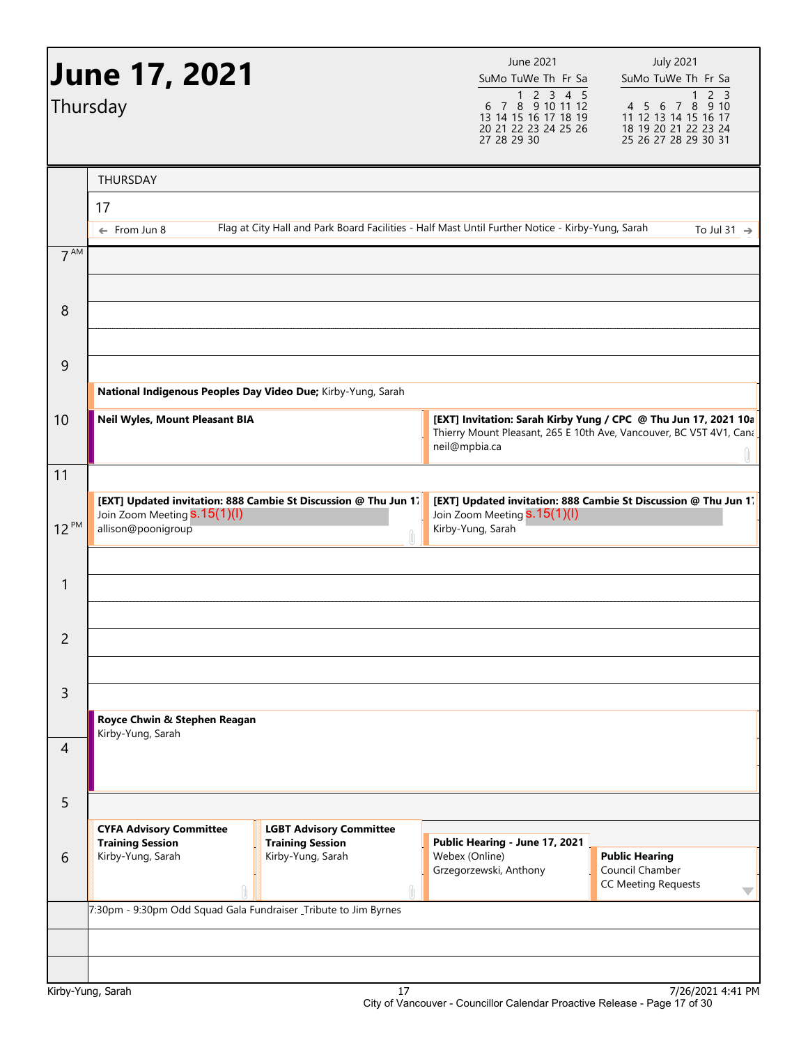|                | <b>June 17, 2021</b><br>Thursday                                                                                      |                                                                                                  |               | June 2021<br>SuMo TuWe Th Fr Sa<br>$\begin{array}{@{}c@{\hspace{1em}}c@{\hspace{1em}}c@{\hspace{1em}}c@{\hspace{1em}}c@{\hspace{1em}}c@{\hspace{1em}}c@{\hspace{1em}}c@{\hspace{1em}}c@{\hspace{1em}}c@{\hspace{1em}}c@{\hspace{1em}}c@{\hspace{1em}}c@{\hspace{1em}}c@{\hspace{1em}}c@{\hspace{1em}}c@{\hspace{1em}}c@{\hspace{1em}}c@{\hspace{1em}}c@{\hspace{1em}}c@{\hspace{1em}}c@{\hspace{1em}}c@{\hspace{1em}}c@{\hspace{1em}}c@{\hspace{$<br>13 14 15 16 17 18 19<br>20 21 22 23 24 25 26<br>27 28 29 30 | <b>July 2021</b><br>SuMo TuWe Th Fr Sa<br>2 <sub>3</sub><br>$4\ 5\ 6\ 7\ 8\ 9\ 10$<br>11 12 13 14 15 16 17<br>18 19 20 21 22 23 24<br>25 26 27 28 29 30 31 |
|----------------|-----------------------------------------------------------------------------------------------------------------------|--------------------------------------------------------------------------------------------------|---------------|------------------------------------------------------------------------------------------------------------------------------------------------------------------------------------------------------------------------------------------------------------------------------------------------------------------------------------------------------------------------------------------------------------------------------------------------------------------------------------------------------------------|------------------------------------------------------------------------------------------------------------------------------------------------------------|
|                | THURSDAY                                                                                                              |                                                                                                  |               |                                                                                                                                                                                                                                                                                                                                                                                                                                                                                                                  |                                                                                                                                                            |
|                | 17                                                                                                                    |                                                                                                  |               |                                                                                                                                                                                                                                                                                                                                                                                                                                                                                                                  |                                                                                                                                                            |
|                | $\leftarrow$ From Jun 8                                                                                               | Flag at City Hall and Park Board Facilities - Half Mast Until Further Notice - Kirby-Yung, Sarah |               |                                                                                                                                                                                                                                                                                                                                                                                                                                                                                                                  | To Jul 31 $\rightarrow$                                                                                                                                    |
| $7^{AM}$       |                                                                                                                       |                                                                                                  |               |                                                                                                                                                                                                                                                                                                                                                                                                                                                                                                                  |                                                                                                                                                            |
| 8              |                                                                                                                       |                                                                                                  |               |                                                                                                                                                                                                                                                                                                                                                                                                                                                                                                                  |                                                                                                                                                            |
| 9              |                                                                                                                       |                                                                                                  |               |                                                                                                                                                                                                                                                                                                                                                                                                                                                                                                                  |                                                                                                                                                            |
|                | National Indigenous Peoples Day Video Due; Kirby-Yung, Sarah                                                          |                                                                                                  |               |                                                                                                                                                                                                                                                                                                                                                                                                                                                                                                                  |                                                                                                                                                            |
| 10             | Neil Wyles, Mount Pleasant BIA                                                                                        |                                                                                                  | neil@mpbia.ca |                                                                                                                                                                                                                                                                                                                                                                                                                                                                                                                  | [EXT] Invitation: Sarah Kirby Yung / CPC @ Thu Jun 17, 2021 10a<br>Thierry Mount Pleasant, 265 E 10th Ave, Vancouver, BC V5T 4V1, Cana                     |
| 11             |                                                                                                                       |                                                                                                  |               |                                                                                                                                                                                                                                                                                                                                                                                                                                                                                                                  |                                                                                                                                                            |
| $12^{PM}$      | [EXT] Updated invitation: 888 Cambie St Discussion @ Thu Jun 1.<br>Join Zoom Meeting S.15(1)(I)<br>allison@poonigroup |                                                                                                  | ĥ,            | Join Zoom Meeting <b>S.15(1)(l)</b><br>Kirby-Yung, Sarah                                                                                                                                                                                                                                                                                                                                                                                                                                                         | [EXT] Updated invitation: 888 Cambie St Discussion @ Thu Jun 17                                                                                            |
|                |                                                                                                                       |                                                                                                  |               |                                                                                                                                                                                                                                                                                                                                                                                                                                                                                                                  |                                                                                                                                                            |
| 1              |                                                                                                                       |                                                                                                  |               |                                                                                                                                                                                                                                                                                                                                                                                                                                                                                                                  |                                                                                                                                                            |
| 2              |                                                                                                                       |                                                                                                  |               |                                                                                                                                                                                                                                                                                                                                                                                                                                                                                                                  |                                                                                                                                                            |
| $\mathsf{3}$   |                                                                                                                       |                                                                                                  |               |                                                                                                                                                                                                                                                                                                                                                                                                                                                                                                                  |                                                                                                                                                            |
|                | Royce Chwin & Stephen Reagan                                                                                          |                                                                                                  |               |                                                                                                                                                                                                                                                                                                                                                                                                                                                                                                                  |                                                                                                                                                            |
| $\overline{4}$ | Kirby-Yung, Sarah                                                                                                     |                                                                                                  |               |                                                                                                                                                                                                                                                                                                                                                                                                                                                                                                                  |                                                                                                                                                            |
| 5              |                                                                                                                       |                                                                                                  |               |                                                                                                                                                                                                                                                                                                                                                                                                                                                                                                                  |                                                                                                                                                            |
|                | <b>CYFA Advisory Committee</b>                                                                                        | <b>LGBT Advisory Committee</b>                                                                   |               |                                                                                                                                                                                                                                                                                                                                                                                                                                                                                                                  |                                                                                                                                                            |
| 6              | <b>Training Session</b><br>Kirby-Yung, Sarah                                                                          | <b>Training Session</b><br>Kirby-Yung, Sarah                                                     |               | Public Hearing - June 17, 2021<br>Webex (Online)<br>Grzegorzewski, Anthony                                                                                                                                                                                                                                                                                                                                                                                                                                       | <b>Public Hearing</b><br>Council Chamber<br><b>CC Meeting Requests</b><br>$\blacktriangledown$                                                             |
|                | 7:30pm - 9:30pm Odd Squad Gala Fundraiser Tribute to Jim Byrnes                                                       |                                                                                                  |               |                                                                                                                                                                                                                                                                                                                                                                                                                                                                                                                  |                                                                                                                                                            |
|                |                                                                                                                       |                                                                                                  |               |                                                                                                                                                                                                                                                                                                                                                                                                                                                                                                                  |                                                                                                                                                            |
|                |                                                                                                                       |                                                                                                  |               |                                                                                                                                                                                                                                                                                                                                                                                                                                                                                                                  |                                                                                                                                                            |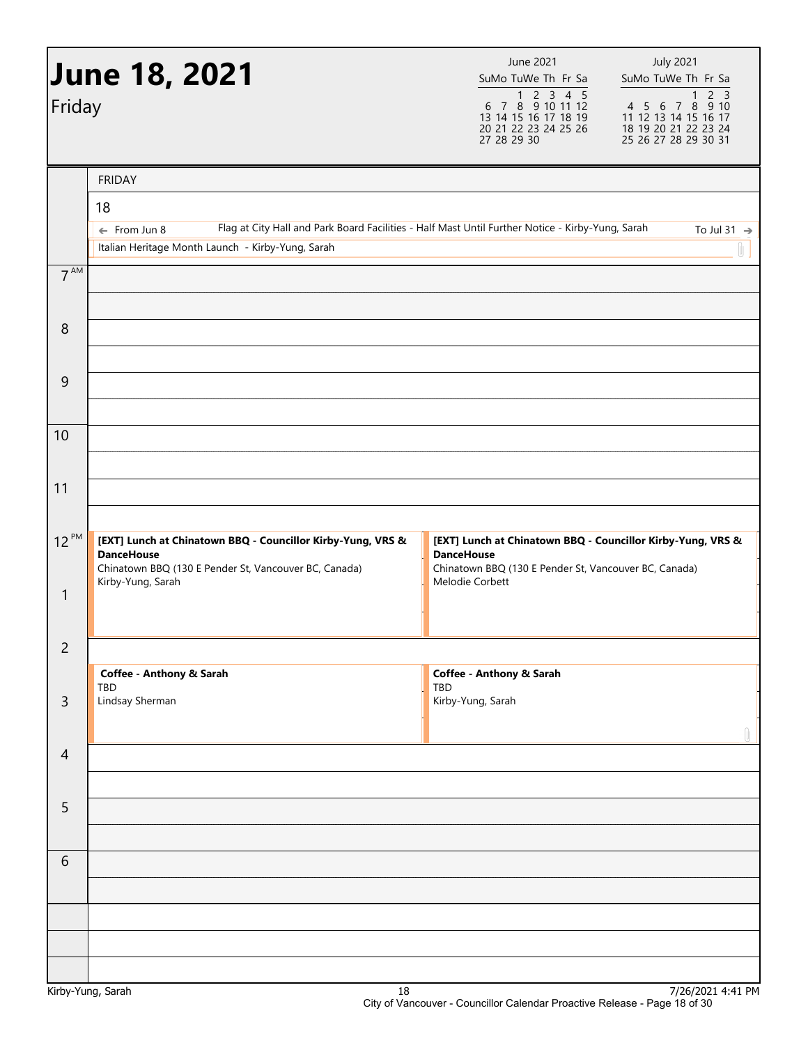| Friday           | <b>June 18, 2021</b>                                                                                                                                           | June 2021<br>SuMo TuWe Th Fr Sa<br>$\begin{array}{@{}c@{\hspace{1em}}c@{\hspace{1em}}c@{\hspace{1em}}c@{\hspace{1em}}c@{\hspace{1em}}c@{\hspace{1em}}c@{\hspace{1em}}c@{\hspace{1em}}c@{\hspace{1em}}c@{\hspace{1em}}c@{\hspace{1em}}c@{\hspace{1em}}c@{\hspace{1em}}c@{\hspace{1em}}c@{\hspace{1em}}c@{\hspace{1em}}c@{\hspace{1em}}c@{\hspace{1em}}c@{\hspace{1em}}c@{\hspace{1em}}c@{\hspace{1em}}c@{\hspace{1em}}c@{\hspace{1em}}c@{\hspace{$<br>13 14 15 16 17 18 19<br>20 21 22 23 24 25 26<br>27 28 29 30 | <b>July 2021</b><br>SuMo TuWe Th Fr Sa<br>2 <sub>3</sub><br>1<br>$4\ 5\ 6\ 7\ 8\ 9\ 10$<br>11 12 13 14 15 16 17<br>18 19 20 21 22 23 24<br>25 26 27 28 29 30 31 |
|------------------|----------------------------------------------------------------------------------------------------------------------------------------------------------------|------------------------------------------------------------------------------------------------------------------------------------------------------------------------------------------------------------------------------------------------------------------------------------------------------------------------------------------------------------------------------------------------------------------------------------------------------------------------------------------------------------------|-----------------------------------------------------------------------------------------------------------------------------------------------------------------|
|                  | <b>FRIDAY</b>                                                                                                                                                  |                                                                                                                                                                                                                                                                                                                                                                                                                                                                                                                  |                                                                                                                                                                 |
|                  | 18<br>Flag at City Hall and Park Board Facilities - Half Mast Until Further Notice - Kirby-Yung, Sarah<br>$\leftarrow$ From Jun 8                              |                                                                                                                                                                                                                                                                                                                                                                                                                                                                                                                  | To Jul 31 $\rightarrow$                                                                                                                                         |
|                  | Italian Heritage Month Launch - Kirby-Yung, Sarah                                                                                                              |                                                                                                                                                                                                                                                                                                                                                                                                                                                                                                                  |                                                                                                                                                                 |
| 7 <sup>AM</sup>  |                                                                                                                                                                |                                                                                                                                                                                                                                                                                                                                                                                                                                                                                                                  |                                                                                                                                                                 |
| $\boldsymbol{8}$ |                                                                                                                                                                |                                                                                                                                                                                                                                                                                                                                                                                                                                                                                                                  |                                                                                                                                                                 |
| 9                |                                                                                                                                                                |                                                                                                                                                                                                                                                                                                                                                                                                                                                                                                                  |                                                                                                                                                                 |
| 10               |                                                                                                                                                                |                                                                                                                                                                                                                                                                                                                                                                                                                                                                                                                  |                                                                                                                                                                 |
|                  |                                                                                                                                                                |                                                                                                                                                                                                                                                                                                                                                                                                                                                                                                                  |                                                                                                                                                                 |
| 11               |                                                                                                                                                                |                                                                                                                                                                                                                                                                                                                                                                                                                                                                                                                  |                                                                                                                                                                 |
| $12^{PM}$        | [EXT] Lunch at Chinatown BBQ - Councillor Kirby-Yung, VRS &<br><b>DanceHouse</b><br>Chinatown BBQ (130 E Pender St, Vancouver BC, Canada)<br>Kirby-Yung, Sarah | [EXT] Lunch at Chinatown BBQ - Councillor Kirby-Yung, VRS &<br><b>DanceHouse</b><br>Chinatown BBQ (130 E Pender St, Vancouver BC, Canada)<br>Melodie Corbett                                                                                                                                                                                                                                                                                                                                                     |                                                                                                                                                                 |
| 1                |                                                                                                                                                                |                                                                                                                                                                                                                                                                                                                                                                                                                                                                                                                  |                                                                                                                                                                 |
| $\overline{c}$   |                                                                                                                                                                |                                                                                                                                                                                                                                                                                                                                                                                                                                                                                                                  |                                                                                                                                                                 |
|                  | Coffee - Anthony & Sarah<br><b>TBD</b>                                                                                                                         | Coffee - Anthony & Sarah<br>TBD                                                                                                                                                                                                                                                                                                                                                                                                                                                                                  |                                                                                                                                                                 |
| $\overline{3}$   | Lindsay Sherman                                                                                                                                                | Kirby-Yung, Sarah                                                                                                                                                                                                                                                                                                                                                                                                                                                                                                |                                                                                                                                                                 |
| $\overline{4}$   |                                                                                                                                                                |                                                                                                                                                                                                                                                                                                                                                                                                                                                                                                                  | Û                                                                                                                                                               |
| 5                |                                                                                                                                                                |                                                                                                                                                                                                                                                                                                                                                                                                                                                                                                                  |                                                                                                                                                                 |
| 6                |                                                                                                                                                                |                                                                                                                                                                                                                                                                                                                                                                                                                                                                                                                  |                                                                                                                                                                 |
|                  |                                                                                                                                                                |                                                                                                                                                                                                                                                                                                                                                                                                                                                                                                                  |                                                                                                                                                                 |
|                  |                                                                                                                                                                |                                                                                                                                                                                                                                                                                                                                                                                                                                                                                                                  |                                                                                                                                                                 |
|                  | $18\,$<br>Kirby-Yung, Sarah                                                                                                                                    |                                                                                                                                                                                                                                                                                                                                                                                                                                                                                                                  | 7/26/2021 4:41 PM                                                                                                                                               |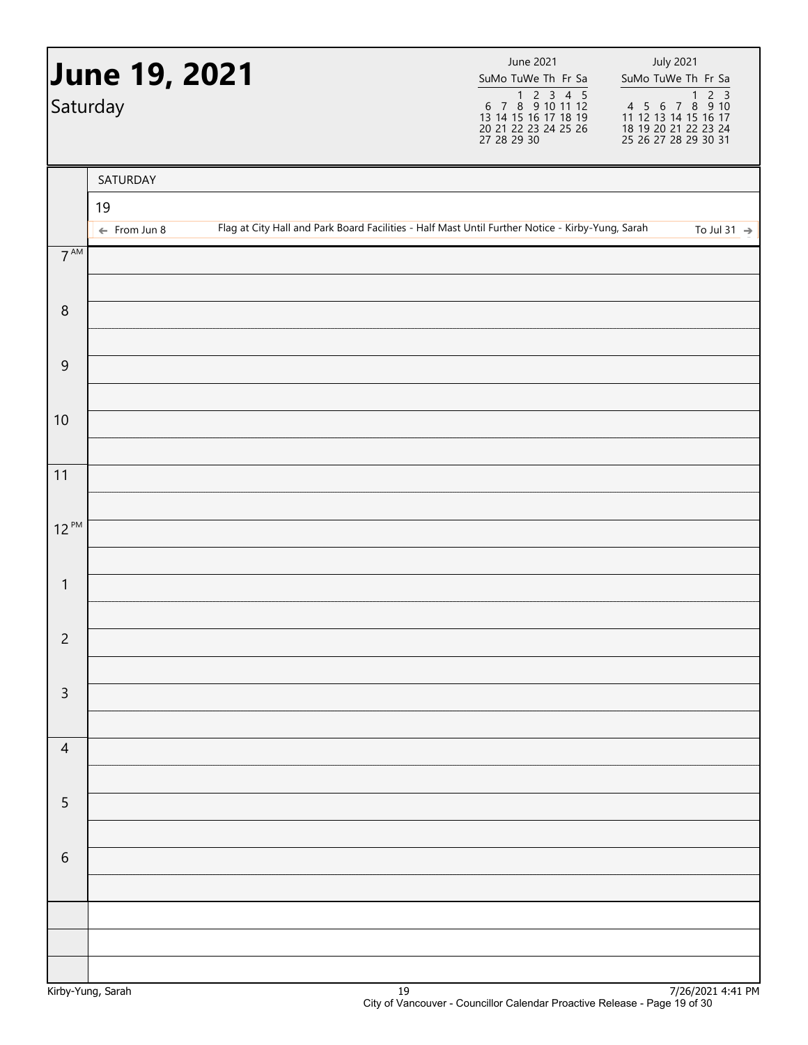|                 | <b>June 19, 2021</b><br>Saturday |                                                                                                  | June 2021<br>SuMo TuWe Th Fr Sa<br>1 2 3 4 5<br>6 7 8 9 10 11 12<br>13 14 15 16 17 18 19<br>20 21 22 23 24 25 26<br>27 28 29 30 | <b>July 2021</b><br>SuMo TuWe Th Fr Sa |
|-----------------|----------------------------------|--------------------------------------------------------------------------------------------------|---------------------------------------------------------------------------------------------------------------------------------|----------------------------------------|
|                 | SATURDAY                         |                                                                                                  |                                                                                                                                 |                                        |
|                 | 19                               | Flag at City Hall and Park Board Facilities - Half Mast Until Further Notice - Kirby-Yung, Sarah |                                                                                                                                 |                                        |
| $7^{\text{AM}}$ | $\leftarrow$ From Jun 8          |                                                                                                  |                                                                                                                                 | To Jul 31 $\rightarrow$                |
|                 |                                  |                                                                                                  |                                                                                                                                 |                                        |
| $\, 8$          |                                  |                                                                                                  |                                                                                                                                 |                                        |
| $\overline{9}$  |                                  |                                                                                                  |                                                                                                                                 |                                        |
| 10              |                                  |                                                                                                  |                                                                                                                                 |                                        |
| 11              |                                  |                                                                                                  |                                                                                                                                 |                                        |
| $12^{PM}$       |                                  |                                                                                                  |                                                                                                                                 |                                        |
|                 |                                  |                                                                                                  |                                                                                                                                 |                                        |
| $\mathbf{1}$    |                                  |                                                                                                  |                                                                                                                                 |                                        |
| $\overline{2}$  |                                  |                                                                                                  |                                                                                                                                 |                                        |
|                 |                                  |                                                                                                  |                                                                                                                                 |                                        |
| $\mathsf 3$     |                                  |                                                                                                  |                                                                                                                                 |                                        |
| $\overline{4}$  |                                  |                                                                                                  |                                                                                                                                 |                                        |
| $\overline{5}$  |                                  |                                                                                                  |                                                                                                                                 |                                        |
|                 |                                  |                                                                                                  |                                                                                                                                 |                                        |
| $\sqrt{6}$      |                                  |                                                                                                  |                                                                                                                                 |                                        |
|                 |                                  |                                                                                                  |                                                                                                                                 |                                        |
|                 |                                  |                                                                                                  |                                                                                                                                 |                                        |
|                 |                                  |                                                                                                  |                                                                                                                                 |                                        |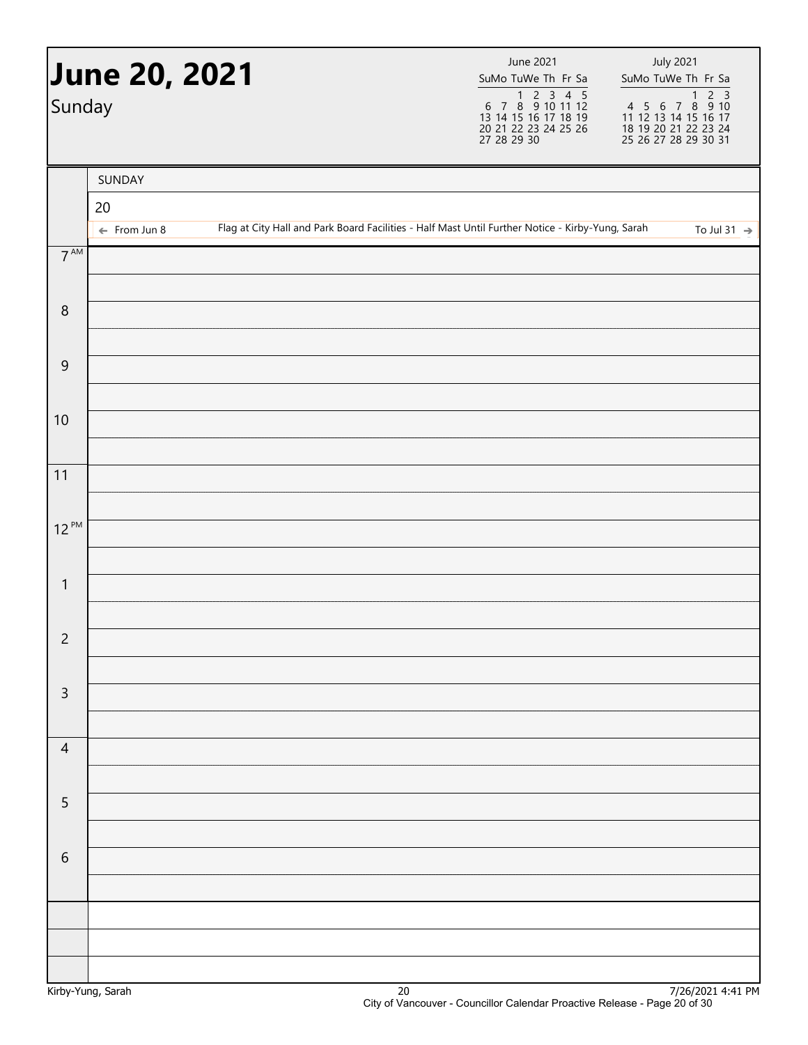| Sunday          | <b>June 20, 2021</b>          |  | June 2021<br>SuMo TuWe Th Fr Sa<br>1 2 3 4 5<br>6 7 8 9 10 11 12<br>13 14 15 16 17 18 19<br>20 21 22 23 24 25 26<br>27 28 29 30 | <b>July 2021</b><br>SuMo TuWe Th Fr Sa |
|-----------------|-------------------------------|--|---------------------------------------------------------------------------------------------------------------------------------|----------------------------------------|
|                 | SUNDAY                        |  |                                                                                                                                 |                                        |
|                 | 20<br>$\leftarrow$ From Jun 8 |  | Flag at City Hall and Park Board Facilities - Half Mast Until Further Notice - Kirby-Yung, Sarah                                | To Jul 31 $\rightarrow$                |
| $7^{\text{AM}}$ |                               |  |                                                                                                                                 |                                        |
|                 |                               |  |                                                                                                                                 |                                        |
| $\, 8$          |                               |  |                                                                                                                                 |                                        |
| $\overline{9}$  |                               |  |                                                                                                                                 |                                        |
|                 |                               |  |                                                                                                                                 |                                        |
| 10              |                               |  |                                                                                                                                 |                                        |
| 11              |                               |  |                                                                                                                                 |                                        |
| $12^{PM}$       |                               |  |                                                                                                                                 |                                        |
|                 |                               |  |                                                                                                                                 |                                        |
| $\mathbf{1}$    |                               |  |                                                                                                                                 |                                        |
| $\overline{c}$  |                               |  |                                                                                                                                 |                                        |
|                 |                               |  |                                                                                                                                 |                                        |
| $\mathsf 3$     |                               |  |                                                                                                                                 |                                        |
| $\overline{4}$  |                               |  |                                                                                                                                 |                                        |
|                 |                               |  |                                                                                                                                 |                                        |
| $\overline{5}$  |                               |  |                                                                                                                                 |                                        |
| $\sqrt{6}$      |                               |  |                                                                                                                                 |                                        |
|                 |                               |  |                                                                                                                                 |                                        |
|                 |                               |  |                                                                                                                                 |                                        |
|                 |                               |  |                                                                                                                                 |                                        |
|                 |                               |  |                                                                                                                                 |                                        |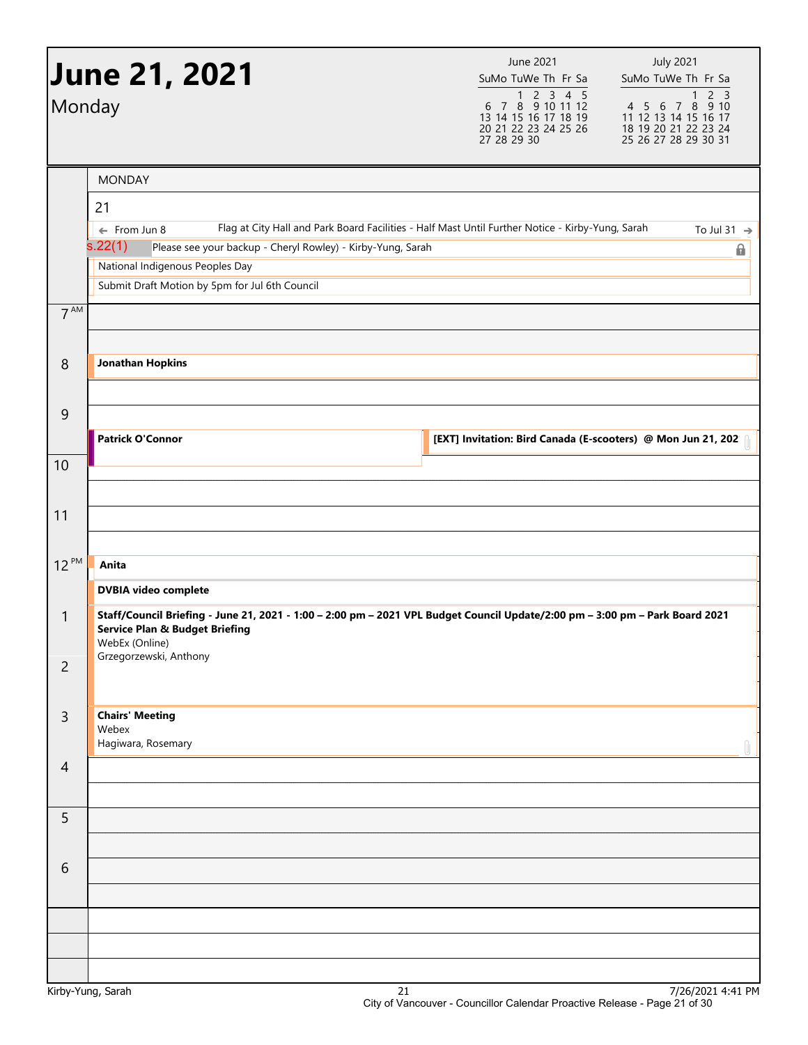| Monday                         | <b>June 21, 2021</b>                                                                                                                                                                                                                                                                       | June 2021<br>SuMo TuWe Th Fr Sa<br>$\begin{array}{@{}c@{\hspace{1em}}c@{\hspace{1em}}c@{\hspace{1em}}c@{\hspace{1em}}c@{\hspace{1em}}c@{\hspace{1em}}c@{\hspace{1em}}c@{\hspace{1em}}c@{\hspace{1em}}c@{\hspace{1em}}c@{\hspace{1em}}c@{\hspace{1em}}c@{\hspace{1em}}c@{\hspace{1em}}c@{\hspace{1em}}c@{\hspace{1em}}c@{\hspace{1em}}c@{\hspace{1em}}c@{\hspace{1em}}c@{\hspace{1em}}c@{\hspace{1em}}c@{\hspace{1em}}c@{\hspace{1em}}c@{\hspace{$<br>13 14 15 16 17 18 19<br>20 21 22 23 24 25 26<br>27 28 29 30 | <b>July 2021</b><br>SuMo TuWe Th Fr Sa<br>2 <sub>3</sub><br>$\mathbf{1}$<br>4 5 6 7 8 9 10<br>11 12 13 14 15 16 17<br>18 19 20 21 22 23 24<br>25 26 27 28 29 30 31 |
|--------------------------------|--------------------------------------------------------------------------------------------------------------------------------------------------------------------------------------------------------------------------------------------------------------------------------------------|------------------------------------------------------------------------------------------------------------------------------------------------------------------------------------------------------------------------------------------------------------------------------------------------------------------------------------------------------------------------------------------------------------------------------------------------------------------------------------------------------------------|--------------------------------------------------------------------------------------------------------------------------------------------------------------------|
|                                | <b>MONDAY</b><br>21                                                                                                                                                                                                                                                                        |                                                                                                                                                                                                                                                                                                                                                                                                                                                                                                                  |                                                                                                                                                                    |
|                                | Flag at City Hall and Park Board Facilities - Half Mast Until Further Notice - Kirby-Yung, Sarah<br>$\leftarrow$ From Jun 8<br>s.22(1)<br>Please see your backup - Cheryl Rowley) - Kirby-Yung, Sarah<br>National Indigenous Peoples Day<br>Submit Draft Motion by 5pm for Jul 6th Council |                                                                                                                                                                                                                                                                                                                                                                                                                                                                                                                  | To Jul 31 $\rightarrow$<br>6                                                                                                                                       |
| $7^{AM}$                       |                                                                                                                                                                                                                                                                                            |                                                                                                                                                                                                                                                                                                                                                                                                                                                                                                                  |                                                                                                                                                                    |
| 8                              | <b>Jonathan Hopkins</b>                                                                                                                                                                                                                                                                    |                                                                                                                                                                                                                                                                                                                                                                                                                                                                                                                  |                                                                                                                                                                    |
| 9                              | <b>Patrick O'Connor</b>                                                                                                                                                                                                                                                                    | [EXT] Invitation: Bird Canada (E-scooters) @ Mon Jun 21, 202                                                                                                                                                                                                                                                                                                                                                                                                                                                     |                                                                                                                                                                    |
| 10                             |                                                                                                                                                                                                                                                                                            |                                                                                                                                                                                                                                                                                                                                                                                                                                                                                                                  |                                                                                                                                                                    |
| 11                             |                                                                                                                                                                                                                                                                                            |                                                                                                                                                                                                                                                                                                                                                                                                                                                                                                                  |                                                                                                                                                                    |
| $12^{PM}$                      | Anita                                                                                                                                                                                                                                                                                      |                                                                                                                                                                                                                                                                                                                                                                                                                                                                                                                  |                                                                                                                                                                    |
| $\mathbf{1}$<br>$\overline{c}$ | <b>DVBIA video complete</b><br>Staff/Council Briefing - June 21, 2021 - 1:00 - 2:00 pm - 2021 VPL Budget Council Update/2:00 pm - 3:00 pm - Park Board 2021<br><b>Service Plan &amp; Budget Briefing</b><br>WebEx (Online)<br>Grzegorzewski, Anthony                                       |                                                                                                                                                                                                                                                                                                                                                                                                                                                                                                                  |                                                                                                                                                                    |
| $\overline{3}$                 | <b>Chairs' Meeting</b><br>Webex<br>Hagiwara, Rosemary                                                                                                                                                                                                                                      |                                                                                                                                                                                                                                                                                                                                                                                                                                                                                                                  |                                                                                                                                                                    |
| $\overline{4}$                 |                                                                                                                                                                                                                                                                                            |                                                                                                                                                                                                                                                                                                                                                                                                                                                                                                                  |                                                                                                                                                                    |
| 5                              |                                                                                                                                                                                                                                                                                            |                                                                                                                                                                                                                                                                                                                                                                                                                                                                                                                  |                                                                                                                                                                    |
| 6                              |                                                                                                                                                                                                                                                                                            |                                                                                                                                                                                                                                                                                                                                                                                                                                                                                                                  |                                                                                                                                                                    |
|                                |                                                                                                                                                                                                                                                                                            |                                                                                                                                                                                                                                                                                                                                                                                                                                                                                                                  |                                                                                                                                                                    |
|                                |                                                                                                                                                                                                                                                                                            |                                                                                                                                                                                                                                                                                                                                                                                                                                                                                                                  |                                                                                                                                                                    |
|                                |                                                                                                                                                                                                                                                                                            |                                                                                                                                                                                                                                                                                                                                                                                                                                                                                                                  |                                                                                                                                                                    |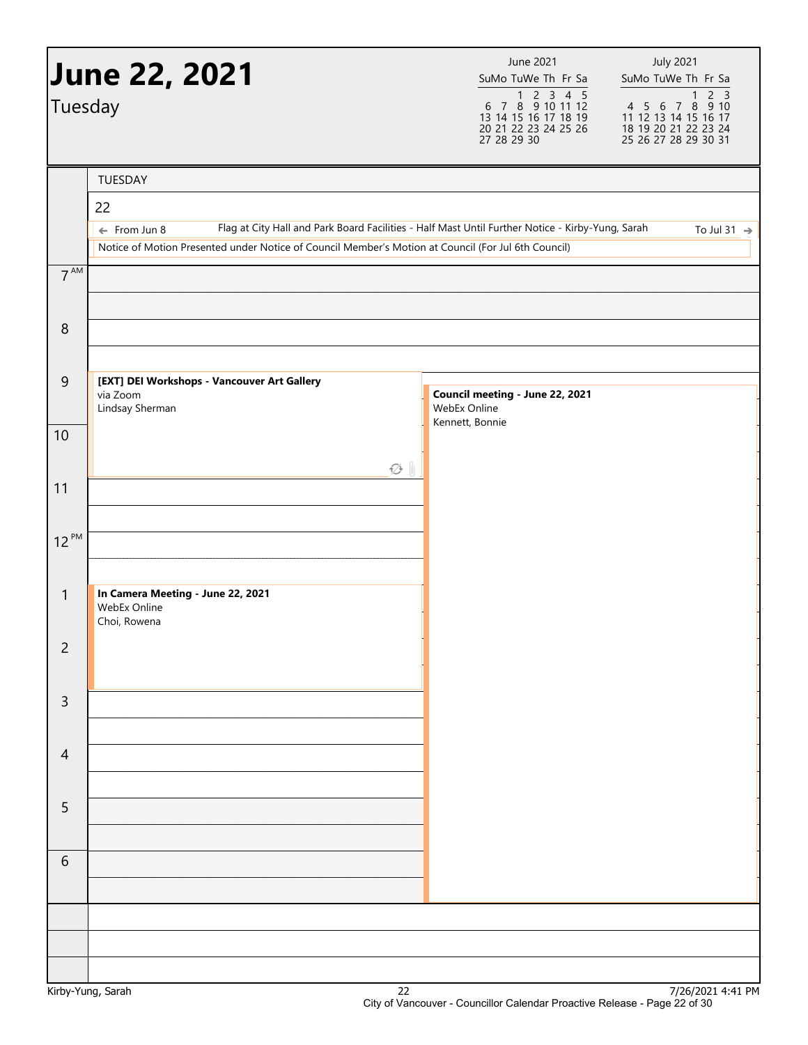|                  | <b>June 22, 2021</b>                                                                                                                                                                                                               | June 2021<br>SuMo TuWe Th Fr Sa                                                              | <b>July 2021</b><br>SuMo TuWe Th Fr Sa                                                          |
|------------------|------------------------------------------------------------------------------------------------------------------------------------------------------------------------------------------------------------------------------------|----------------------------------------------------------------------------------------------|-------------------------------------------------------------------------------------------------|
| Tuesday          |                                                                                                                                                                                                                                    | 1 2 3 4 5<br>6 7 8 9 10 11 12<br>13 14 15 16 17 18 19<br>20 21 22 23 24 25 26<br>27 28 29 30 | 1 2 3<br>4 5 6 7 8 9 10<br>11 12 13 14 15 16 17<br>18 19 20 21 22 23 24<br>25 26 27 28 29 30 31 |
|                  | TUESDAY                                                                                                                                                                                                                            |                                                                                              |                                                                                                 |
|                  | 22                                                                                                                                                                                                                                 |                                                                                              |                                                                                                 |
|                  | Flag at City Hall and Park Board Facilities - Half Mast Until Further Notice - Kirby-Yung, Sarah<br>$\leftarrow$ From Jun 8<br>Notice of Motion Presented under Notice of Council Member's Motion at Council (For Jul 6th Council) |                                                                                              | To Jul 31 $\rightarrow$                                                                         |
| $7^{AM}$         |                                                                                                                                                                                                                                    |                                                                                              |                                                                                                 |
| $\,8\,$          |                                                                                                                                                                                                                                    |                                                                                              |                                                                                                 |
|                  |                                                                                                                                                                                                                                    |                                                                                              |                                                                                                 |
| $\overline{9}$   | [EXT] DEI Workshops - Vancouver Art Gallery<br>via Zoom<br>Lindsay Sherman                                                                                                                                                         | Council meeting - June 22, 2021<br>WebEx Online                                              |                                                                                                 |
| 10               |                                                                                                                                                                                                                                    | Kennett, Bonnie                                                                              |                                                                                                 |
|                  | $\varnothing$ 1                                                                                                                                                                                                                    |                                                                                              |                                                                                                 |
| 11               |                                                                                                                                                                                                                                    |                                                                                              |                                                                                                 |
| $12^{PM}$        |                                                                                                                                                                                                                                    |                                                                                              |                                                                                                 |
|                  |                                                                                                                                                                                                                                    |                                                                                              |                                                                                                 |
| $\mathbf{1}$     | In Camera Meeting - June 22, 2021<br>WebEx Online<br>Choi, Rowena                                                                                                                                                                  |                                                                                              |                                                                                                 |
| $\overline{c}$   |                                                                                                                                                                                                                                    |                                                                                              |                                                                                                 |
| 3                |                                                                                                                                                                                                                                    |                                                                                              |                                                                                                 |
| $\overline{4}$   |                                                                                                                                                                                                                                    |                                                                                              |                                                                                                 |
| 5                |                                                                                                                                                                                                                                    |                                                                                              |                                                                                                 |
| 6                |                                                                                                                                                                                                                                    |                                                                                              |                                                                                                 |
|                  |                                                                                                                                                                                                                                    |                                                                                              |                                                                                                 |
|                  |                                                                                                                                                                                                                                    |                                                                                              |                                                                                                 |
| Virhy Vung Carah | າາ                                                                                                                                                                                                                                 |                                                                                              | $7/26/2021$ $A+A1$ DM                                                                           |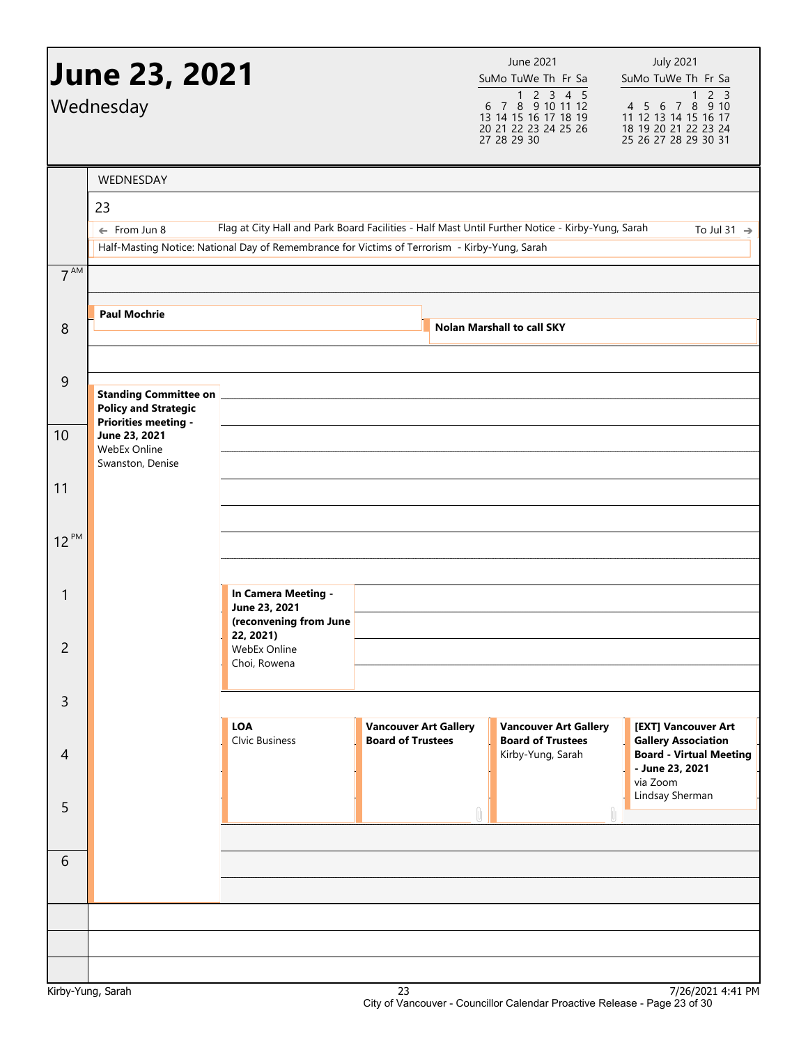|                 | <b>June 23, 2021</b><br>Wednesday                           |                                                                                                                                                                                                   |                                                          | June 2021<br>SuMo TuWe Th Fr Sa<br>$\begin{array}{@{}c@{\hspace{1em}}c@{\hspace{1em}}c@{\hspace{1em}}c@{\hspace{1em}}c@{\hspace{1em}}c@{\hspace{1em}}c@{\hspace{1em}}c@{\hspace{1em}}c@{\hspace{1em}}c@{\hspace{1em}}c@{\hspace{1em}}c@{\hspace{1em}}c@{\hspace{1em}}c@{\hspace{1em}}c@{\hspace{1em}}c@{\hspace{1em}}c@{\hspace{1em}}c@{\hspace{1em}}c@{\hspace{1em}}c@{\hspace{1em}}c@{\hspace{1em}}c@{\hspace{1em}}c@{\hspace{1em}}c@{\hspace{$<br>13 14 15 16 17 18 19<br>20 21 22 23 24 25 26<br>27 28 29 30 | <b>July 2021</b><br>SuMo TuWe Th Fr Sa<br>4 5 6 7 8 9 10<br>11 12 13 14 15 16 17<br>18 19 20 21 22 23 24<br>25 26 27 28 29 30 31 |
|-----------------|-------------------------------------------------------------|---------------------------------------------------------------------------------------------------------------------------------------------------------------------------------------------------|----------------------------------------------------------|------------------------------------------------------------------------------------------------------------------------------------------------------------------------------------------------------------------------------------------------------------------------------------------------------------------------------------------------------------------------------------------------------------------------------------------------------------------------------------------------------------------|----------------------------------------------------------------------------------------------------------------------------------|
|                 | WEDNESDAY                                                   |                                                                                                                                                                                                   |                                                          |                                                                                                                                                                                                                                                                                                                                                                                                                                                                                                                  |                                                                                                                                  |
|                 | 23                                                          |                                                                                                                                                                                                   |                                                          |                                                                                                                                                                                                                                                                                                                                                                                                                                                                                                                  |                                                                                                                                  |
|                 | $\leftarrow$ From Jun 8                                     | Flag at City Hall and Park Board Facilities - Half Mast Until Further Notice - Kirby-Yung, Sarah<br>Half-Masting Notice: National Day of Remembrance for Victims of Terrorism - Kirby-Yung, Sarah |                                                          |                                                                                                                                                                                                                                                                                                                                                                                                                                                                                                                  | To Jul 31 $\rightarrow$                                                                                                          |
| 7 <sup>AM</sup> |                                                             |                                                                                                                                                                                                   |                                                          |                                                                                                                                                                                                                                                                                                                                                                                                                                                                                                                  |                                                                                                                                  |
|                 |                                                             |                                                                                                                                                                                                   |                                                          |                                                                                                                                                                                                                                                                                                                                                                                                                                                                                                                  |                                                                                                                                  |
| 8               | <b>Paul Mochrie</b>                                         |                                                                                                                                                                                                   |                                                          | <b>Nolan Marshall to call SKY</b>                                                                                                                                                                                                                                                                                                                                                                                                                                                                                |                                                                                                                                  |
|                 |                                                             |                                                                                                                                                                                                   |                                                          |                                                                                                                                                                                                                                                                                                                                                                                                                                                                                                                  |                                                                                                                                  |
| $\mathsf 9$     |                                                             |                                                                                                                                                                                                   |                                                          |                                                                                                                                                                                                                                                                                                                                                                                                                                                                                                                  |                                                                                                                                  |
|                 | <b>Standing Committee on</b><br><b>Policy and Strategic</b> |                                                                                                                                                                                                   |                                                          |                                                                                                                                                                                                                                                                                                                                                                                                                                                                                                                  |                                                                                                                                  |
| 10              | <b>Priorities meeting -</b><br>June 23, 2021                |                                                                                                                                                                                                   |                                                          |                                                                                                                                                                                                                                                                                                                                                                                                                                                                                                                  |                                                                                                                                  |
|                 | WebEx Online<br>Swanston, Denise                            |                                                                                                                                                                                                   |                                                          |                                                                                                                                                                                                                                                                                                                                                                                                                                                                                                                  |                                                                                                                                  |
| 11              |                                                             |                                                                                                                                                                                                   |                                                          |                                                                                                                                                                                                                                                                                                                                                                                                                                                                                                                  |                                                                                                                                  |
|                 |                                                             |                                                                                                                                                                                                   |                                                          |                                                                                                                                                                                                                                                                                                                                                                                                                                                                                                                  |                                                                                                                                  |
| $12^{PM}$       |                                                             |                                                                                                                                                                                                   |                                                          |                                                                                                                                                                                                                                                                                                                                                                                                                                                                                                                  |                                                                                                                                  |
|                 |                                                             |                                                                                                                                                                                                   |                                                          |                                                                                                                                                                                                                                                                                                                                                                                                                                                                                                                  |                                                                                                                                  |
| 1               |                                                             | In Camera Meeting -                                                                                                                                                                               |                                                          |                                                                                                                                                                                                                                                                                                                                                                                                                                                                                                                  |                                                                                                                                  |
|                 |                                                             | June 23, 2021<br>(reconvening from June                                                                                                                                                           |                                                          |                                                                                                                                                                                                                                                                                                                                                                                                                                                                                                                  |                                                                                                                                  |
| $\overline{2}$  |                                                             | 22, 2021)<br>WebEx Online                                                                                                                                                                         |                                                          |                                                                                                                                                                                                                                                                                                                                                                                                                                                                                                                  |                                                                                                                                  |
|                 |                                                             | Choi, Rowena                                                                                                                                                                                      |                                                          |                                                                                                                                                                                                                                                                                                                                                                                                                                                                                                                  |                                                                                                                                  |
| 3               |                                                             |                                                                                                                                                                                                   |                                                          |                                                                                                                                                                                                                                                                                                                                                                                                                                                                                                                  |                                                                                                                                  |
|                 |                                                             | <b>LOA</b><br><b>Clvic Business</b>                                                                                                                                                               | <b>Vancouver Art Gallery</b><br><b>Board of Trustees</b> | <b>Vancouver Art Gallery</b><br><b>Board of Trustees</b>                                                                                                                                                                                                                                                                                                                                                                                                                                                         | [EXT] Vancouver Art                                                                                                              |
| $\overline{4}$  |                                                             |                                                                                                                                                                                                   |                                                          | Kirby-Yung, Sarah                                                                                                                                                                                                                                                                                                                                                                                                                                                                                                | <b>Gallery Association</b><br><b>Board - Virtual Meeting</b><br>- June 23, 2021<br>via Zoom<br>Lindsay Sherman                   |
| 5               |                                                             |                                                                                                                                                                                                   |                                                          |                                                                                                                                                                                                                                                                                                                                                                                                                                                                                                                  |                                                                                                                                  |
|                 |                                                             |                                                                                                                                                                                                   |                                                          |                                                                                                                                                                                                                                                                                                                                                                                                                                                                                                                  |                                                                                                                                  |
| 6               |                                                             |                                                                                                                                                                                                   |                                                          |                                                                                                                                                                                                                                                                                                                                                                                                                                                                                                                  |                                                                                                                                  |
|                 |                                                             |                                                                                                                                                                                                   |                                                          |                                                                                                                                                                                                                                                                                                                                                                                                                                                                                                                  |                                                                                                                                  |
|                 |                                                             |                                                                                                                                                                                                   |                                                          |                                                                                                                                                                                                                                                                                                                                                                                                                                                                                                                  |                                                                                                                                  |
|                 |                                                             |                                                                                                                                                                                                   |                                                          |                                                                                                                                                                                                                                                                                                                                                                                                                                                                                                                  |                                                                                                                                  |
|                 |                                                             |                                                                                                                                                                                                   |                                                          |                                                                                                                                                                                                                                                                                                                                                                                                                                                                                                                  |                                                                                                                                  |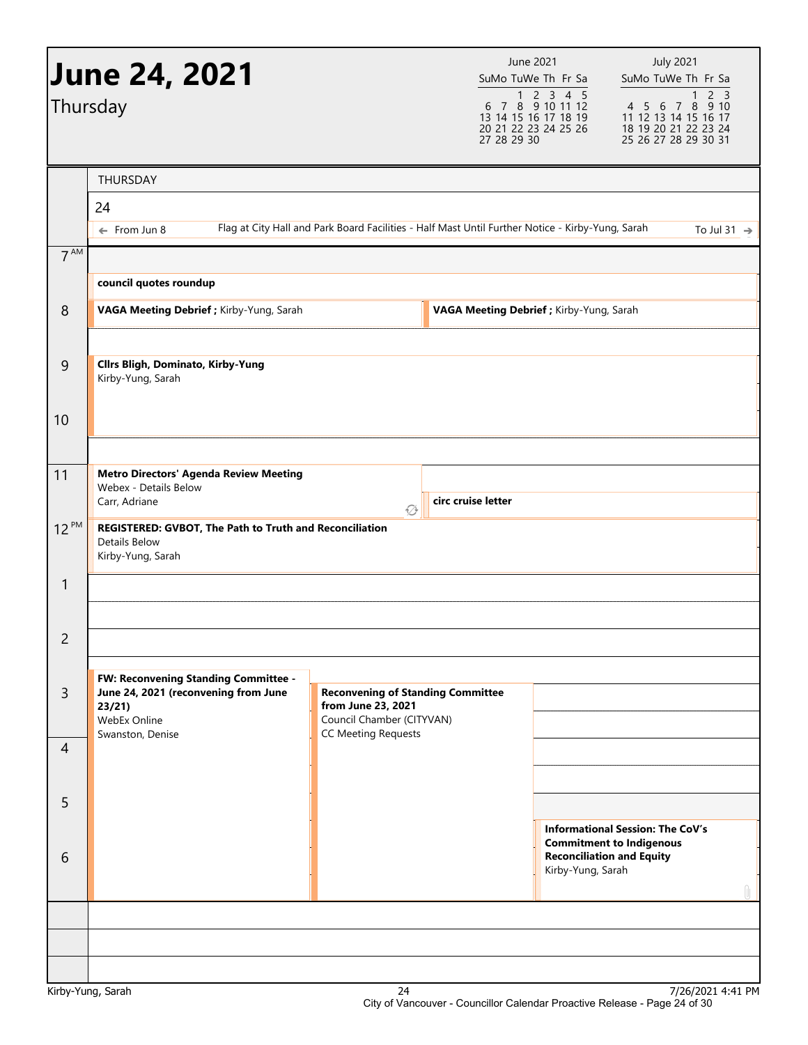|                      | <b>June 24, 2021</b><br>Thursday                                                                                          |                                                                                                                           | June 2021<br>SuMo TuWe Th Fr Sa<br>$1 \quad 2 \quad 3 \quad 4 \quad 5$<br>$6$ 7 $8$ 9 10 11 12<br>13 14 15 16 17 18 19<br>20 21 22 23 24 25 26<br>27 28 29 30 | <b>July 2021</b><br>SuMo TuWe Th Fr Sa<br>2 <sup>3</sup><br>$\mathbf{1}$<br>4 5 6 7 8 9 10<br>11 12 13 14 15 16 17<br>18 19 20 21 22 23 24<br>25 26 27 28 29 30 31 |
|----------------------|---------------------------------------------------------------------------------------------------------------------------|---------------------------------------------------------------------------------------------------------------------------|---------------------------------------------------------------------------------------------------------------------------------------------------------------|--------------------------------------------------------------------------------------------------------------------------------------------------------------------|
| $7^{\text{AM}}$      | <b>THURSDAY</b><br>24<br>$\leftarrow$ From Jun 8                                                                          | Flag at City Hall and Park Board Facilities - Half Mast Until Further Notice - Kirby-Yung, Sarah                          |                                                                                                                                                               | To Jul 31 $\rightarrow$                                                                                                                                            |
| 8                    | council quotes roundup<br>VAGA Meeting Debrief ; Kirby-Yung, Sarah                                                        |                                                                                                                           | VAGA Meeting Debrief ; Kirby-Yung, Sarah                                                                                                                      |                                                                                                                                                                    |
| $\overline{9}$<br>10 | <b>Cllrs Bligh, Dominato, Kirby-Yung</b><br>Kirby-Yung, Sarah                                                             |                                                                                                                           |                                                                                                                                                               |                                                                                                                                                                    |
| 11                   | <b>Metro Directors' Agenda Review Meeting</b><br>Webex - Details Below<br>Carr, Adriane                                   | circ cruise letter<br>۞                                                                                                   |                                                                                                                                                               |                                                                                                                                                                    |
| $12^{PM}$            | REGISTERED: GVBOT, The Path to Truth and Reconciliation<br>Details Below<br>Kirby-Yung, Sarah                             |                                                                                                                           |                                                                                                                                                               |                                                                                                                                                                    |
| $\mathbf{1}$         |                                                                                                                           |                                                                                                                           |                                                                                                                                                               |                                                                                                                                                                    |
| $\overline{c}$       |                                                                                                                           |                                                                                                                           |                                                                                                                                                               |                                                                                                                                                                    |
| 3                    | FW: Reconvening Standing Committee -<br>June 24, 2021 (reconvening from June<br>23/21<br>WebEx Online<br>Swanston, Denise | <b>Reconvening of Standing Committee</b><br>from June 23, 2021<br>Council Chamber (CITYVAN)<br><b>CC Meeting Requests</b> |                                                                                                                                                               |                                                                                                                                                                    |
| $\overline{4}$       |                                                                                                                           |                                                                                                                           |                                                                                                                                                               |                                                                                                                                                                    |
| 5                    |                                                                                                                           |                                                                                                                           |                                                                                                                                                               | <b>Informational Session: The CoV's</b>                                                                                                                            |
| 6                    |                                                                                                                           |                                                                                                                           | Kirby-Yung, Sarah                                                                                                                                             | <b>Commitment to Indigenous</b><br><b>Reconciliation and Equity</b><br>Û.                                                                                          |
|                      |                                                                                                                           |                                                                                                                           |                                                                                                                                                               |                                                                                                                                                                    |
|                      |                                                                                                                           |                                                                                                                           |                                                                                                                                                               |                                                                                                                                                                    |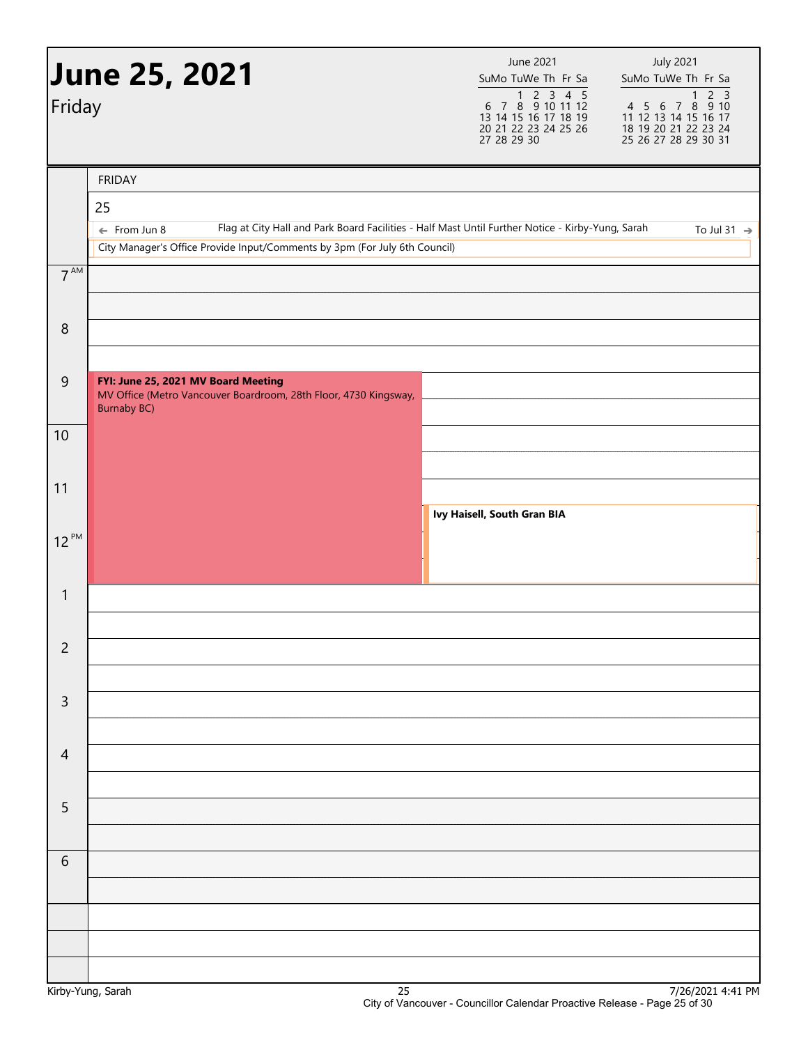| Friday         | <b>June 25, 2021</b>                                                                                                                                                                                                             | June 2021<br>SuMo TuWe Th Fr Sa<br>$\begin{array}{@{}c@{\hspace{1em}}c@{\hspace{1em}}c@{\hspace{1em}}c@{\hspace{1em}}c@{\hspace{1em}}c@{\hspace{1em}}c@{\hspace{1em}}c@{\hspace{1em}}c@{\hspace{1em}}c@{\hspace{1em}}c@{\hspace{1em}}c@{\hspace{1em}}c@{\hspace{1em}}c@{\hspace{1em}}c@{\hspace{1em}}c@{\hspace{1em}}c@{\hspace{1em}}c@{\hspace{1em}}c@{\hspace{1em}}c@{\hspace{1em}}c@{\hspace{1em}}c@{\hspace{1em}}c@{\hspace{1em}}c@{\hspace{$<br>13 14 15 16 17 18 19<br>20 21 22 23 24 25 26<br>27 28 29 30 | <b>July 2021</b><br>SuMo TuWe Th Fr Sa<br>1 2 3<br>4 5 6 7 8 9 10<br>11 12 13 14 15 16 17<br>18 19 20 21 22 23 24<br>25 26 27 28 29 30 31 |
|----------------|----------------------------------------------------------------------------------------------------------------------------------------------------------------------------------------------------------------------------------|------------------------------------------------------------------------------------------------------------------------------------------------------------------------------------------------------------------------------------------------------------------------------------------------------------------------------------------------------------------------------------------------------------------------------------------------------------------------------------------------------------------|-------------------------------------------------------------------------------------------------------------------------------------------|
|                | <b>FRIDAY</b><br>25<br>Flag at City Hall and Park Board Facilities - Half Mast Until Further Notice - Kirby-Yung, Sarah<br>$\leftarrow$ From Jun 8<br>City Manager's Office Provide Input/Comments by 3pm (For July 6th Council) |                                                                                                                                                                                                                                                                                                                                                                                                                                                                                                                  | To Jul 31 $\rightarrow$                                                                                                                   |
| $7^{AM}$       |                                                                                                                                                                                                                                  |                                                                                                                                                                                                                                                                                                                                                                                                                                                                                                                  |                                                                                                                                           |
| 8              |                                                                                                                                                                                                                                  |                                                                                                                                                                                                                                                                                                                                                                                                                                                                                                                  |                                                                                                                                           |
| $\mathsf 9$    | FYI: June 25, 2021 MV Board Meeting<br>MV Office (Metro Vancouver Boardroom, 28th Floor, 4730 Kingsway,<br><b>Burnaby BC)</b>                                                                                                    |                                                                                                                                                                                                                                                                                                                                                                                                                                                                                                                  |                                                                                                                                           |
| 10             |                                                                                                                                                                                                                                  |                                                                                                                                                                                                                                                                                                                                                                                                                                                                                                                  |                                                                                                                                           |
| 11             |                                                                                                                                                                                                                                  | Ivy Haisell, South Gran BIA                                                                                                                                                                                                                                                                                                                                                                                                                                                                                      |                                                                                                                                           |
| $12^{PM}$      |                                                                                                                                                                                                                                  |                                                                                                                                                                                                                                                                                                                                                                                                                                                                                                                  |                                                                                                                                           |
| $\mathbf{1}$   |                                                                                                                                                                                                                                  |                                                                                                                                                                                                                                                                                                                                                                                                                                                                                                                  |                                                                                                                                           |
| $\overline{c}$ |                                                                                                                                                                                                                                  |                                                                                                                                                                                                                                                                                                                                                                                                                                                                                                                  |                                                                                                                                           |
| $\mathsf 3$    |                                                                                                                                                                                                                                  |                                                                                                                                                                                                                                                                                                                                                                                                                                                                                                                  |                                                                                                                                           |
| $\overline{4}$ |                                                                                                                                                                                                                                  |                                                                                                                                                                                                                                                                                                                                                                                                                                                                                                                  |                                                                                                                                           |
| 5              |                                                                                                                                                                                                                                  |                                                                                                                                                                                                                                                                                                                                                                                                                                                                                                                  |                                                                                                                                           |
| 6              |                                                                                                                                                                                                                                  |                                                                                                                                                                                                                                                                                                                                                                                                                                                                                                                  |                                                                                                                                           |
|                |                                                                                                                                                                                                                                  |                                                                                                                                                                                                                                                                                                                                                                                                                                                                                                                  |                                                                                                                                           |
|                |                                                                                                                                                                                                                                  |                                                                                                                                                                                                                                                                                                                                                                                                                                                                                                                  |                                                                                                                                           |
|                |                                                                                                                                                                                                                                  |                                                                                                                                                                                                                                                                                                                                                                                                                                                                                                                  |                                                                                                                                           |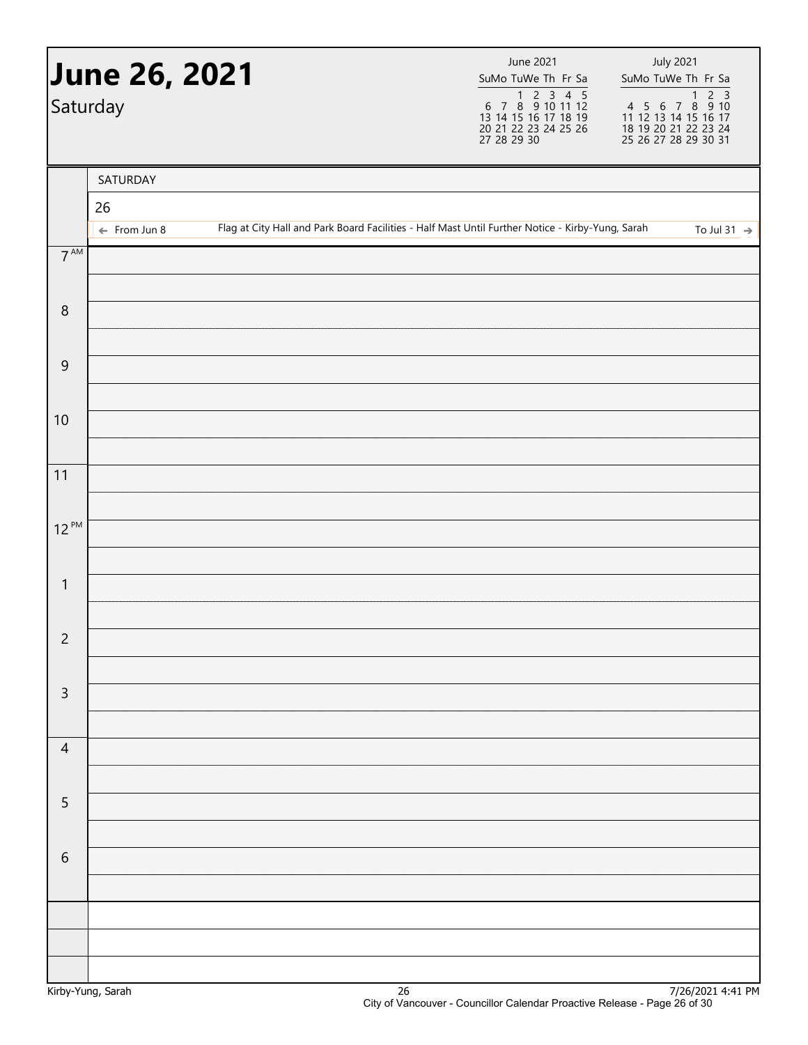|                 | <b>June 26, 2021</b><br>Saturday |  | June 2021<br>SuMo TuWe Th Fr Sa<br>1 2 3 4 5<br>6 7 8 9 10 11 12<br>13 14 15 16 17 18 19<br>20 21 22 23 24 25 26<br>27 28 29 30 | <b>July 2021</b><br>SuMo TuWe Th Fr Sa |
|-----------------|----------------------------------|--|---------------------------------------------------------------------------------------------------------------------------------|----------------------------------------|
|                 | SATURDAY                         |  |                                                                                                                                 |                                        |
|                 | 26<br>$\leftarrow$ From Jun 8    |  | Flag at City Hall and Park Board Facilities - Half Mast Until Further Notice - Kirby-Yung, Sarah                                | To Jul 31 $\rightarrow$                |
| $7^{\text{AM}}$ |                                  |  |                                                                                                                                 |                                        |
| $\, 8$          |                                  |  |                                                                                                                                 |                                        |
| $\overline{9}$  |                                  |  |                                                                                                                                 |                                        |
| 10              |                                  |  |                                                                                                                                 |                                        |
| 11              |                                  |  |                                                                                                                                 |                                        |
| $12^{PM}$       |                                  |  |                                                                                                                                 |                                        |
| $\mathbf{1}$    |                                  |  |                                                                                                                                 |                                        |
| $\overline{2}$  |                                  |  |                                                                                                                                 |                                        |
| $\mathsf{3}$    |                                  |  |                                                                                                                                 |                                        |
| $\overline{4}$  |                                  |  |                                                                                                                                 |                                        |
| 5               |                                  |  |                                                                                                                                 |                                        |
| $\sqrt{6}$      |                                  |  |                                                                                                                                 |                                        |
|                 |                                  |  |                                                                                                                                 |                                        |
|                 |                                  |  |                                                                                                                                 |                                        |
|                 |                                  |  |                                                                                                                                 |                                        |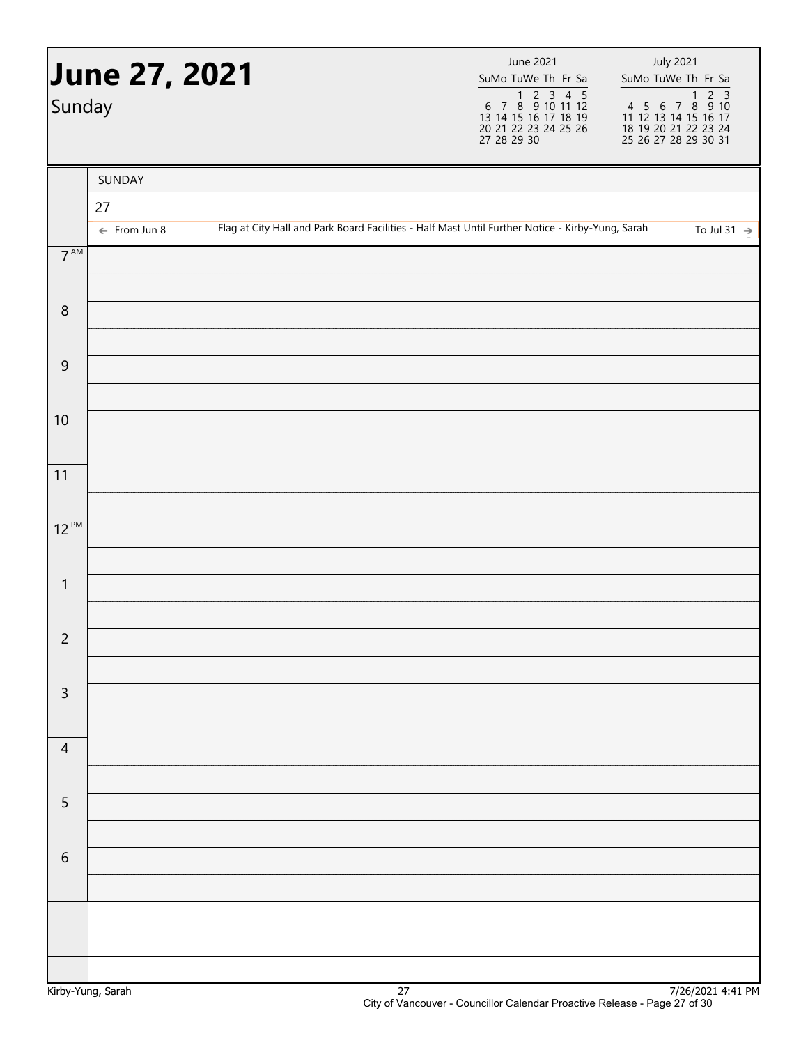| Sunday          | June 27, 2021           |  | June 2021<br>SuMo TuWe Th Fr Sa<br>1 2 3 4 5<br>6 7 8 9 10 11 12<br>13 14 15 16 17 18 19<br>20 21 22 23 24 25 26<br>27 28 29 30 | <b>July 2021</b><br>SuMo TuWe Th Fr Sa                                                           |                         |
|-----------------|-------------------------|--|---------------------------------------------------------------------------------------------------------------------------------|--------------------------------------------------------------------------------------------------|-------------------------|
|                 | SUNDAY<br>27            |  |                                                                                                                                 |                                                                                                  |                         |
|                 | $\leftarrow$ From Jun 8 |  |                                                                                                                                 | Flag at City Hall and Park Board Facilities - Half Mast Until Further Notice - Kirby-Yung, Sarah | To Jul 31 $\rightarrow$ |
| $7^{\text{AM}}$ |                         |  |                                                                                                                                 |                                                                                                  |                         |
| $\, 8$          |                         |  |                                                                                                                                 |                                                                                                  |                         |
| $\overline{9}$  |                         |  |                                                                                                                                 |                                                                                                  |                         |
| 10              |                         |  |                                                                                                                                 |                                                                                                  |                         |
| 11              |                         |  |                                                                                                                                 |                                                                                                  |                         |
| $12^{PM}$       |                         |  |                                                                                                                                 |                                                                                                  |                         |
| $\mathbf{1}$    |                         |  |                                                                                                                                 |                                                                                                  |                         |
|                 |                         |  |                                                                                                                                 |                                                                                                  |                         |
| $\overline{2}$  |                         |  |                                                                                                                                 |                                                                                                  |                         |
| $\mathsf 3$     |                         |  |                                                                                                                                 |                                                                                                  |                         |
| $\overline{4}$  |                         |  |                                                                                                                                 |                                                                                                  |                         |
|                 |                         |  |                                                                                                                                 |                                                                                                  |                         |
| $\overline{5}$  |                         |  |                                                                                                                                 |                                                                                                  |                         |
| $\sqrt{6}$      |                         |  |                                                                                                                                 |                                                                                                  |                         |
|                 |                         |  |                                                                                                                                 |                                                                                                  |                         |
|                 |                         |  |                                                                                                                                 |                                                                                                  |                         |
|                 |                         |  |                                                                                                                                 |                                                                                                  |                         |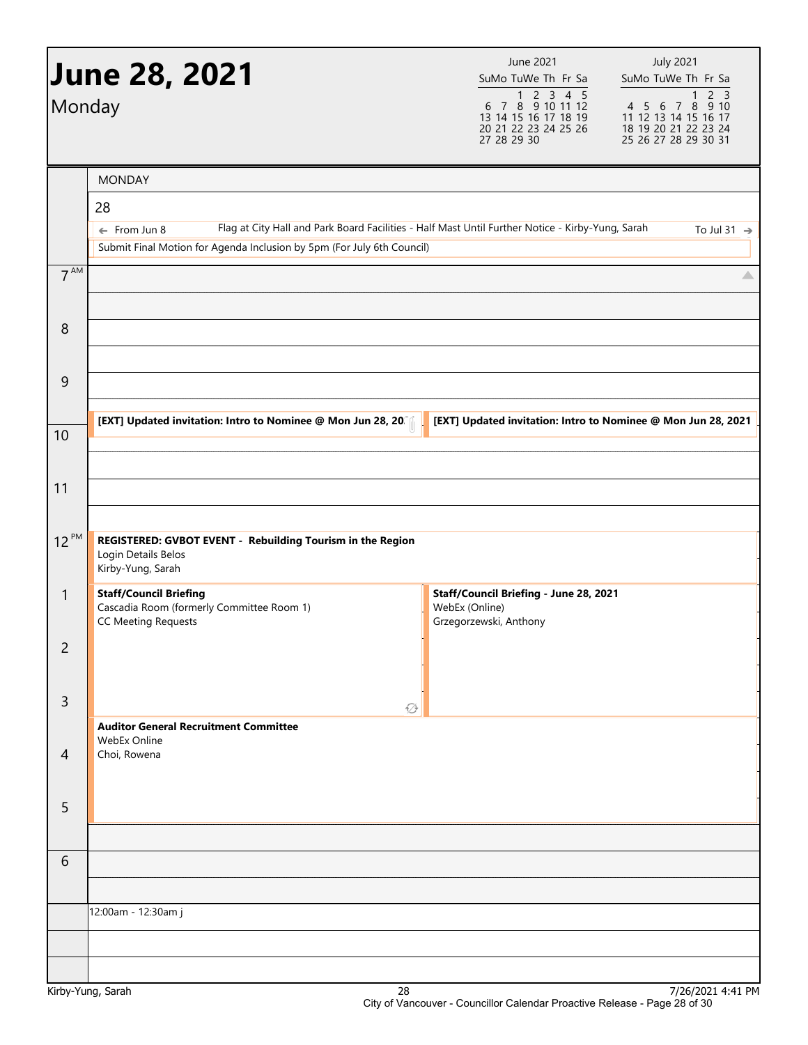| Monday         | <b>June 28, 2021</b>                                                                                     | <b>July 2021</b><br>June 2021<br>SuMo TuWe Th Fr Sa<br>SuMo TuWe Th Fr Sa<br>$\begin{array}{@{}c@{\hspace{1em}}c@{\hspace{1em}}c@{\hspace{1em}}c@{\hspace{1em}}c@{\hspace{1em}}c@{\hspace{1em}}c@{\hspace{1em}}c@{\hspace{1em}}c@{\hspace{1em}}c@{\hspace{1em}}c@{\hspace{1em}}c@{\hspace{1em}}c@{\hspace{1em}}c@{\hspace{1em}}c@{\hspace{1em}}c@{\hspace{1em}}c@{\hspace{1em}}c@{\hspace{1em}}c@{\hspace{1em}}c@{\hspace{1em}}c@{\hspace{1em}}c@{\hspace{1em}}c@{\hspace{1em}}c@{\hspace{$<br>2 <sub>3</sub><br>$\mathbf{1}$<br>4 5 6 7 8 9 10<br>13 14 15 16 17 18 19<br>11 12 13 14 15 16 17<br>18 19 20 21 22 23 24<br>20 21 22 23 24 25 26<br>27 28 29 30<br>25 26 27 28 29 30 31 |
|----------------|----------------------------------------------------------------------------------------------------------|----------------------------------------------------------------------------------------------------------------------------------------------------------------------------------------------------------------------------------------------------------------------------------------------------------------------------------------------------------------------------------------------------------------------------------------------------------------------------------------------------------------------------------------------------------------------------------------------------------------------------------------------------------------------------------------|
|                | <b>MONDAY</b><br>28                                                                                      |                                                                                                                                                                                                                                                                                                                                                                                                                                                                                                                                                                                                                                                                                        |
|                | $\leftarrow$ From Jun 8<br>Submit Final Motion for Agenda Inclusion by 5pm (For July 6th Council)        | Flag at City Hall and Park Board Facilities - Half Mast Until Further Notice - Kirby-Yung, Sarah<br>To Jul 31 $\rightarrow$                                                                                                                                                                                                                                                                                                                                                                                                                                                                                                                                                            |
| $7^{AM}$       |                                                                                                          | △                                                                                                                                                                                                                                                                                                                                                                                                                                                                                                                                                                                                                                                                                      |
| 8              |                                                                                                          |                                                                                                                                                                                                                                                                                                                                                                                                                                                                                                                                                                                                                                                                                        |
| 9              |                                                                                                          |                                                                                                                                                                                                                                                                                                                                                                                                                                                                                                                                                                                                                                                                                        |
| 10             | [EXT] Updated invitation: Intro to Nominee @ Mon Jun 28, 20                                              | [EXT] Updated invitation: Intro to Nominee @ Mon Jun 28, 2021                                                                                                                                                                                                                                                                                                                                                                                                                                                                                                                                                                                                                          |
| 11             |                                                                                                          |                                                                                                                                                                                                                                                                                                                                                                                                                                                                                                                                                                                                                                                                                        |
| $12^{PM}$      | REGISTERED: GVBOT EVENT - Rebuilding Tourism in the Region<br>Login Details Belos<br>Kirby-Yung, Sarah   |                                                                                                                                                                                                                                                                                                                                                                                                                                                                                                                                                                                                                                                                                        |
| $\mathbf{1}$   | <b>Staff/Council Briefing</b><br>Cascadia Room (formerly Committee Room 1)<br><b>CC Meeting Requests</b> | Staff/Council Briefing - June 28, 2021<br>WebEx (Online)<br>Grzegorzewski, Anthony                                                                                                                                                                                                                                                                                                                                                                                                                                                                                                                                                                                                     |
| 2              |                                                                                                          |                                                                                                                                                                                                                                                                                                                                                                                                                                                                                                                                                                                                                                                                                        |
| 3              | ۞                                                                                                        |                                                                                                                                                                                                                                                                                                                                                                                                                                                                                                                                                                                                                                                                                        |
| $\overline{4}$ | <b>Auditor General Recruitment Committee</b><br>WebEx Online<br>Choi, Rowena                             |                                                                                                                                                                                                                                                                                                                                                                                                                                                                                                                                                                                                                                                                                        |
| 5              |                                                                                                          |                                                                                                                                                                                                                                                                                                                                                                                                                                                                                                                                                                                                                                                                                        |
| 6              |                                                                                                          |                                                                                                                                                                                                                                                                                                                                                                                                                                                                                                                                                                                                                                                                                        |
|                | 12:00am - 12:30am j                                                                                      |                                                                                                                                                                                                                                                                                                                                                                                                                                                                                                                                                                                                                                                                                        |
|                |                                                                                                          |                                                                                                                                                                                                                                                                                                                                                                                                                                                                                                                                                                                                                                                                                        |
| $\mathcal{M}$  | $\mathcal{D}$                                                                                            | 7/2C/2021A.41R                                                                                                                                                                                                                                                                                                                                                                                                                                                                                                                                                                                                                                                                         |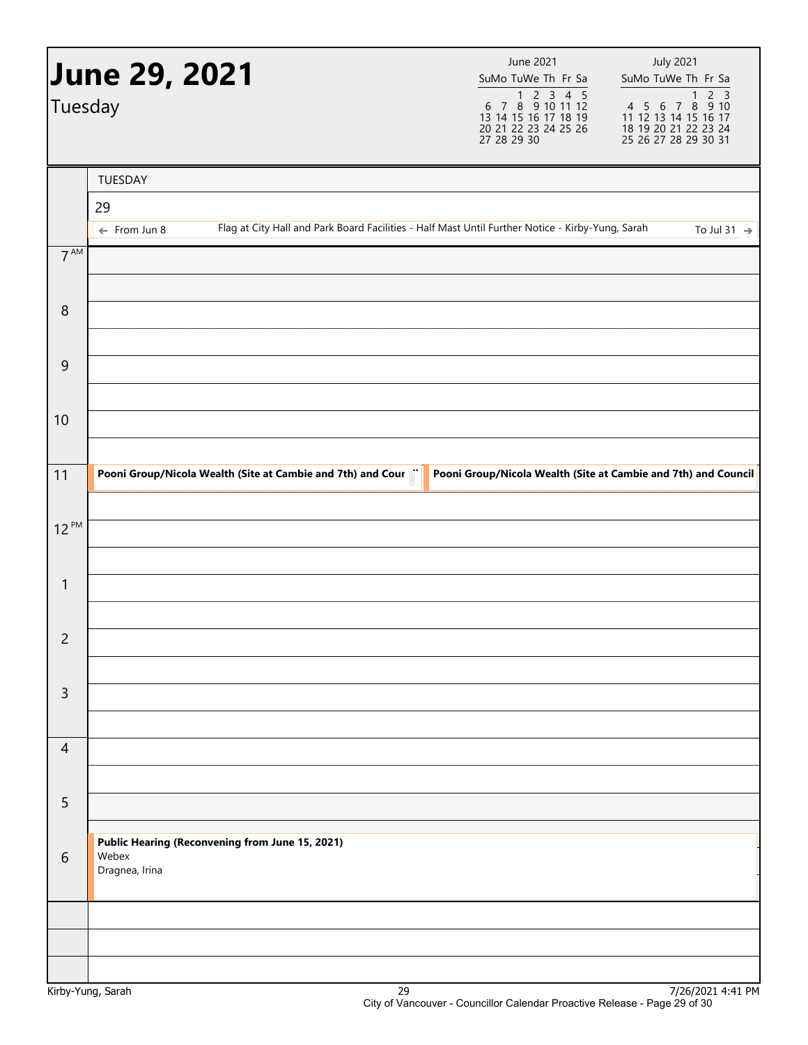| Tuesday         | <b>June 29, 2021</b>    |                                                 |                                                             | June 2021<br>SuMo TuWe Th Fr Sa<br>1 2 3 4 5<br>6 7 8 9 10 11 12<br>13 14 15 16 17 18 19<br>20 21 22 23 24 25 26<br>27 28 29 30 | <b>July 2021</b><br>SuMo TuWe Th Fr Sa<br>2 <sub>3</sub><br>$\mathbf{1}$<br>4 5 6 7 8 9 10<br>11 12 13 14 15 16 17<br>18 19 20 21 22 23 24<br>25 26 27 28 29 30 31 |
|-----------------|-------------------------|-------------------------------------------------|-------------------------------------------------------------|---------------------------------------------------------------------------------------------------------------------------------|--------------------------------------------------------------------------------------------------------------------------------------------------------------------|
|                 | TUESDAY                 |                                                 |                                                             |                                                                                                                                 |                                                                                                                                                                    |
|                 | 29                      |                                                 |                                                             |                                                                                                                                 |                                                                                                                                                                    |
| 7 <sup>AM</sup> | $\leftarrow$ From Jun 8 |                                                 |                                                             | Flag at City Hall and Park Board Facilities - Half Mast Until Further Notice - Kirby-Yung, Sarah                                | To Jul 31 $\rightarrow$                                                                                                                                            |
|                 |                         |                                                 |                                                             |                                                                                                                                 |                                                                                                                                                                    |
| 8               |                         |                                                 |                                                             |                                                                                                                                 |                                                                                                                                                                    |
| 9               |                         |                                                 |                                                             |                                                                                                                                 |                                                                                                                                                                    |
| 10              |                         |                                                 |                                                             |                                                                                                                                 |                                                                                                                                                                    |
| 11              |                         |                                                 | Pooni Group/Nicola Wealth (Site at Cambie and 7th) and Cour |                                                                                                                                 | Pooni Group/Nicola Wealth (Site at Cambie and 7th) and Council                                                                                                     |
| $12^{PM}$       |                         |                                                 |                                                             |                                                                                                                                 |                                                                                                                                                                    |
|                 |                         |                                                 |                                                             |                                                                                                                                 |                                                                                                                                                                    |
| $\mathbf{1}$    |                         |                                                 |                                                             |                                                                                                                                 |                                                                                                                                                                    |
| $\overline{c}$  |                         |                                                 |                                                             |                                                                                                                                 |                                                                                                                                                                    |
| $\mathsf{3}$    |                         |                                                 |                                                             |                                                                                                                                 |                                                                                                                                                                    |
| $\overline{4}$  |                         |                                                 |                                                             |                                                                                                                                 |                                                                                                                                                                    |
|                 |                         |                                                 |                                                             |                                                                                                                                 |                                                                                                                                                                    |
| 5               |                         |                                                 |                                                             |                                                                                                                                 |                                                                                                                                                                    |
| 6               | Webex<br>Dragnea, Irina | Public Hearing (Reconvening from June 15, 2021) |                                                             |                                                                                                                                 |                                                                                                                                                                    |
|                 |                         |                                                 |                                                             |                                                                                                                                 |                                                                                                                                                                    |
|                 |                         |                                                 |                                                             |                                                                                                                                 |                                                                                                                                                                    |
|                 |                         |                                                 |                                                             |                                                                                                                                 |                                                                                                                                                                    |